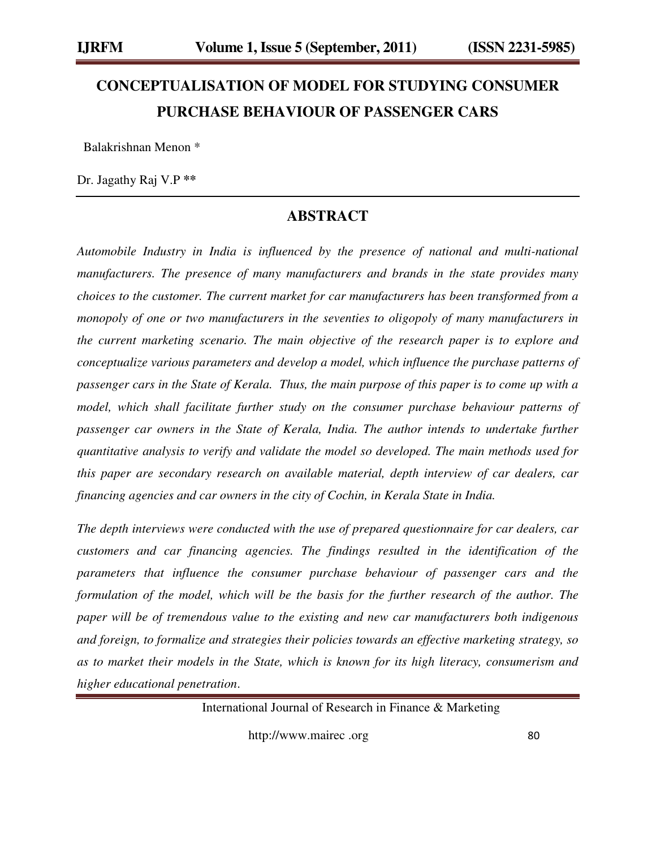# **CONCEPTUALISATION OF MODEL FOR STUDYING CONSUMER PURCHASE BEHAVIOUR OF PASSENGER CARS**

Balakrishnan Menon \*

Dr. Jagathy Raj V.P **\*\*** 

### **ABSTRACT**

*Automobile Industry in India is influenced by the presence of national and multi-national manufacturers. The presence of many manufacturers and brands in the state provides many choices to the customer. The current market for car manufacturers has been transformed from a monopoly of one or two manufacturers in the seventies to oligopoly of many manufacturers in the current marketing scenario. The main objective of the research paper is to explore and conceptualize various parameters and develop a model, which influence the purchase patterns of passenger cars in the State of Kerala. Thus, the main purpose of this paper is to come up with a model, which shall facilitate further study on the consumer purchase behaviour patterns of passenger car owners in the State of Kerala, India. The author intends to undertake further quantitative analysis to verify and validate the model so developed. The main methods used for this paper are secondary research on available material, depth interview of car dealers, car financing agencies and car owners in the city of Cochin, in Kerala State in India.* 

*The depth interviews were conducted with the use of prepared questionnaire for car dealers, car customers and car financing agencies. The findings resulted in the identification of the parameters that influence the consumer purchase behaviour of passenger cars and the formulation of the model, which will be the basis for the further research of the author. The paper will be of tremendous value to the existing and new car manufacturers both indigenous and foreign, to formalize and strategies their policies towards an effective marketing strategy, so as to market their models in the State, which is known for its high literacy, consumerism and higher educational penetration*.

International Journal of Research in Finance & Marketing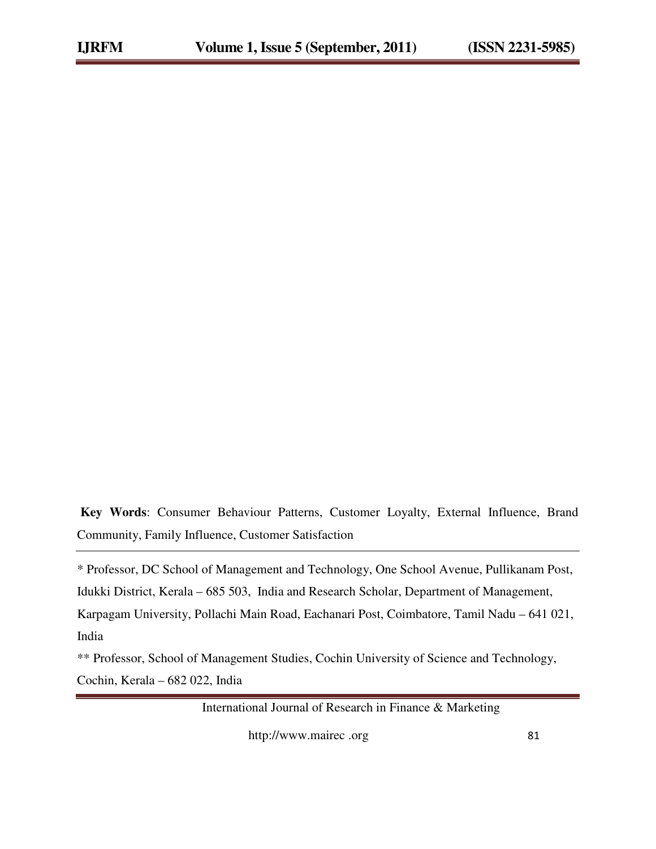**Key Words**: Consumer Behaviour Patterns, Customer Loyalty, External Influence, Brand Community, Family Influence, Customer Satisfaction

\* Professor, DC School of Management and Technology, One School Avenue, Pullikanam Post, Idukki District, Kerala – 685 503, India and Research Scholar, Department of Management, Karpagam University, Pollachi Main Road, Eachanari Post, Coimbatore, Tamil Nadu – 641 021, India

\*\* Professor, School of Management Studies, Cochin University of Science and Technology, Cochin, Kerala – 682 022, India

International Journal of Research in Finance & Marketing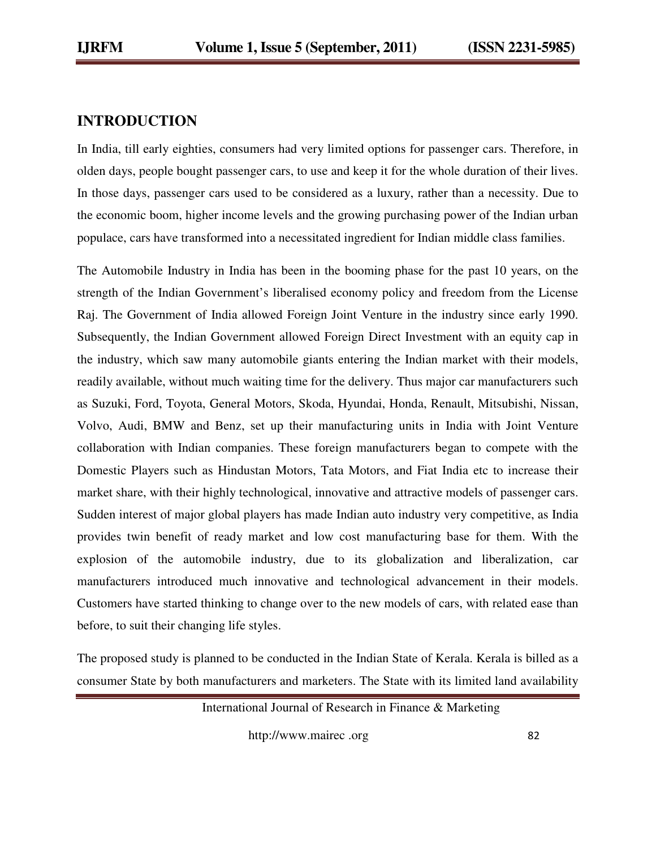### **INTRODUCTION**

In India, till early eighties, consumers had very limited options for passenger cars. Therefore, in olden days, people bought passenger cars, to use and keep it for the whole duration of their lives. In those days, passenger cars used to be considered as a luxury, rather than a necessity. Due to the economic boom, higher income levels and the growing purchasing power of the Indian urban populace, cars have transformed into a necessitated ingredient for Indian middle class families.

The Automobile Industry in India has been in the booming phase for the past 10 years, on the strength of the Indian Government's liberalised economy policy and freedom from the License Raj. The Government of India allowed Foreign Joint Venture in the industry since early 1990. Subsequently, the Indian Government allowed Foreign Direct Investment with an equity cap in the industry, which saw many automobile giants entering the Indian market with their models, readily available, without much waiting time for the delivery. Thus major car manufacturers such as Suzuki, Ford, Toyota, General Motors, Skoda, Hyundai, Honda, Renault, Mitsubishi, Nissan, Volvo, Audi, BMW and Benz, set up their manufacturing units in India with Joint Venture collaboration with Indian companies. These foreign manufacturers began to compete with the Domestic Players such as Hindustan Motors, Tata Motors, and Fiat India etc to increase their market share, with their highly technological, innovative and attractive models of passenger cars. Sudden interest of major global players has made Indian auto industry very competitive, as India provides twin benefit of ready market and low cost manufacturing base for them. With the explosion of the automobile industry, due to its globalization and liberalization, car manufacturers introduced much innovative and technological advancement in their models. Customers have started thinking to change over to the new models of cars, with related ease than before, to suit their changing life styles.

The proposed study is planned to be conducted in the Indian State of Kerala. Kerala is billed as a consumer State by both manufacturers and marketers. The State with its limited land availability

International Journal of Research in Finance & Marketing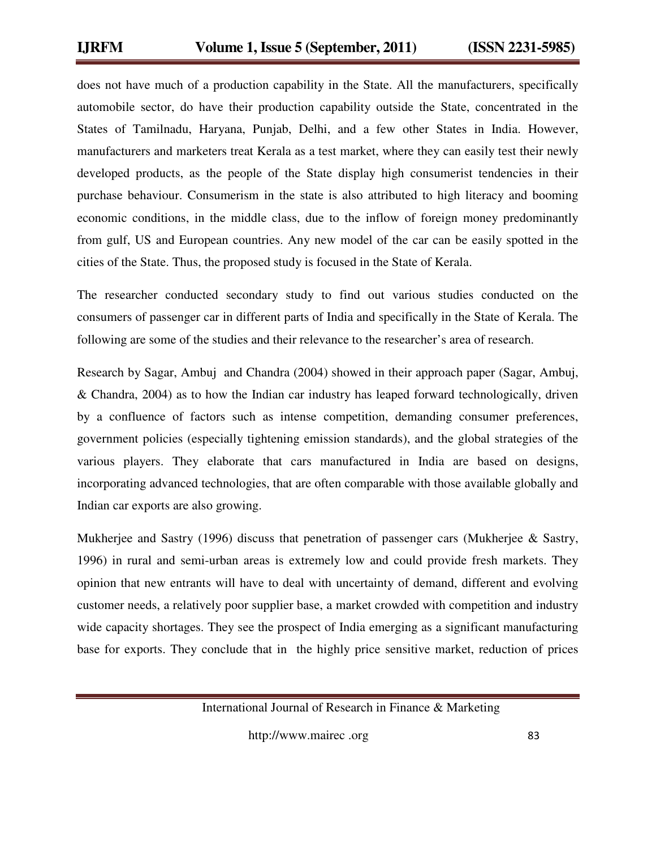does not have much of a production capability in the State. All the manufacturers, specifically automobile sector, do have their production capability outside the State, concentrated in the States of Tamilnadu, Haryana, Punjab, Delhi, and a few other States in India. However, manufacturers and marketers treat Kerala as a test market, where they can easily test their newly developed products, as the people of the State display high consumerist tendencies in their purchase behaviour. Consumerism in the state is also attributed to high literacy and booming economic conditions, in the middle class, due to the inflow of foreign money predominantly from gulf, US and European countries. Any new model of the car can be easily spotted in the cities of the State. Thus, the proposed study is focused in the State of Kerala.

The researcher conducted secondary study to find out various studies conducted on the consumers of passenger car in different parts of India and specifically in the State of Kerala. The following are some of the studies and their relevance to the researcher's area of research.

Research by Sagar, Ambuj and Chandra (2004) showed in their approach paper (Sagar, Ambuj, & Chandra, 2004) as to how the Indian car industry has leaped forward technologically, driven by a confluence of factors such as intense competition, demanding consumer preferences, government policies (especially tightening emission standards), and the global strategies of the various players. They elaborate that cars manufactured in India are based on designs, incorporating advanced technologies, that are often comparable with those available globally and Indian car exports are also growing.

Mukherjee and Sastry (1996) discuss that penetration of passenger cars (Mukherjee & Sastry, 1996) in rural and semi-urban areas is extremely low and could provide fresh markets. They opinion that new entrants will have to deal with uncertainty of demand, different and evolving customer needs, a relatively poor supplier base, a market crowded with competition and industry wide capacity shortages. They see the prospect of India emerging as a significant manufacturing base for exports. They conclude that in the highly price sensitive market, reduction of prices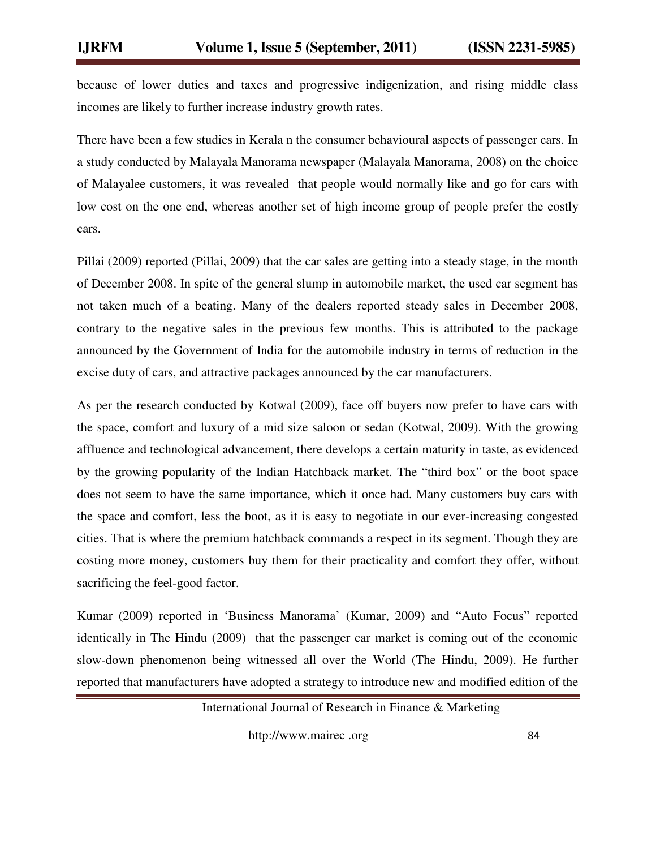because of lower duties and taxes and progressive indigenization, and rising middle class incomes are likely to further increase industry growth rates.

There have been a few studies in Kerala n the consumer behavioural aspects of passenger cars. In a study conducted by Malayala Manorama newspaper (Malayala Manorama, 2008) on the choice of Malayalee customers, it was revealed that people would normally like and go for cars with low cost on the one end, whereas another set of high income group of people prefer the costly cars.

Pillai (2009) reported (Pillai, 2009) that the car sales are getting into a steady stage, in the month of December 2008. In spite of the general slump in automobile market, the used car segment has not taken much of a beating. Many of the dealers reported steady sales in December 2008, contrary to the negative sales in the previous few months. This is attributed to the package announced by the Government of India for the automobile industry in terms of reduction in the excise duty of cars, and attractive packages announced by the car manufacturers.

As per the research conducted by Kotwal (2009), face off buyers now prefer to have cars with the space, comfort and luxury of a mid size saloon or sedan (Kotwal, 2009). With the growing affluence and technological advancement, there develops a certain maturity in taste, as evidenced by the growing popularity of the Indian Hatchback market. The "third box" or the boot space does not seem to have the same importance, which it once had. Many customers buy cars with the space and comfort, less the boot, as it is easy to negotiate in our ever-increasing congested cities. That is where the premium hatchback commands a respect in its segment. Though they are costing more money, customers buy them for their practicality and comfort they offer, without sacrificing the feel-good factor.

Kumar (2009) reported in 'Business Manorama' (Kumar, 2009) and "Auto Focus" reported identically in The Hindu (2009) that the passenger car market is coming out of the economic slow-down phenomenon being witnessed all over the World (The Hindu, 2009). He further reported that manufacturers have adopted a strategy to introduce new and modified edition of the

International Journal of Research in Finance & Marketing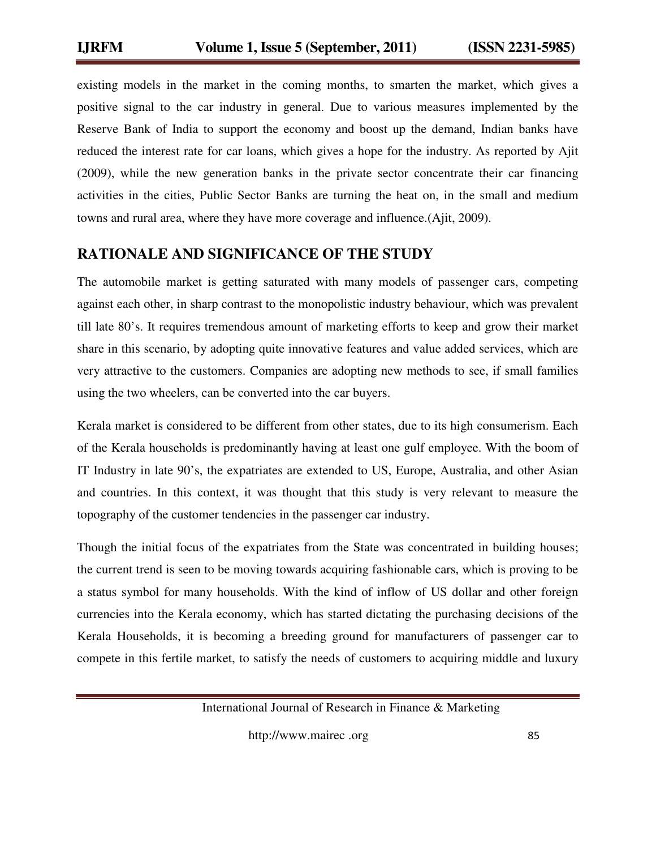existing models in the market in the coming months, to smarten the market, which gives a positive signal to the car industry in general. Due to various measures implemented by the Reserve Bank of India to support the economy and boost up the demand, Indian banks have reduced the interest rate for car loans, which gives a hope for the industry. As reported by Ajit (2009), while the new generation banks in the private sector concentrate their car financing activities in the cities, Public Sector Banks are turning the heat on, in the small and medium towns and rural area, where they have more coverage and influence.(Ajit, 2009).

### **RATIONALE AND SIGNIFICANCE OF THE STUDY**

The automobile market is getting saturated with many models of passenger cars, competing against each other, in sharp contrast to the monopolistic industry behaviour, which was prevalent till late 80's. It requires tremendous amount of marketing efforts to keep and grow their market share in this scenario, by adopting quite innovative features and value added services, which are very attractive to the customers. Companies are adopting new methods to see, if small families using the two wheelers, can be converted into the car buyers.

Kerala market is considered to be different from other states, due to its high consumerism. Each of the Kerala households is predominantly having at least one gulf employee. With the boom of IT Industry in late 90's, the expatriates are extended to US, Europe, Australia, and other Asian and countries. In this context, it was thought that this study is very relevant to measure the topography of the customer tendencies in the passenger car industry.

Though the initial focus of the expatriates from the State was concentrated in building houses; the current trend is seen to be moving towards acquiring fashionable cars, which is proving to be a status symbol for many households. With the kind of inflow of US dollar and other foreign currencies into the Kerala economy, which has started dictating the purchasing decisions of the Kerala Households, it is becoming a breeding ground for manufacturers of passenger car to compete in this fertile market, to satisfy the needs of customers to acquiring middle and luxury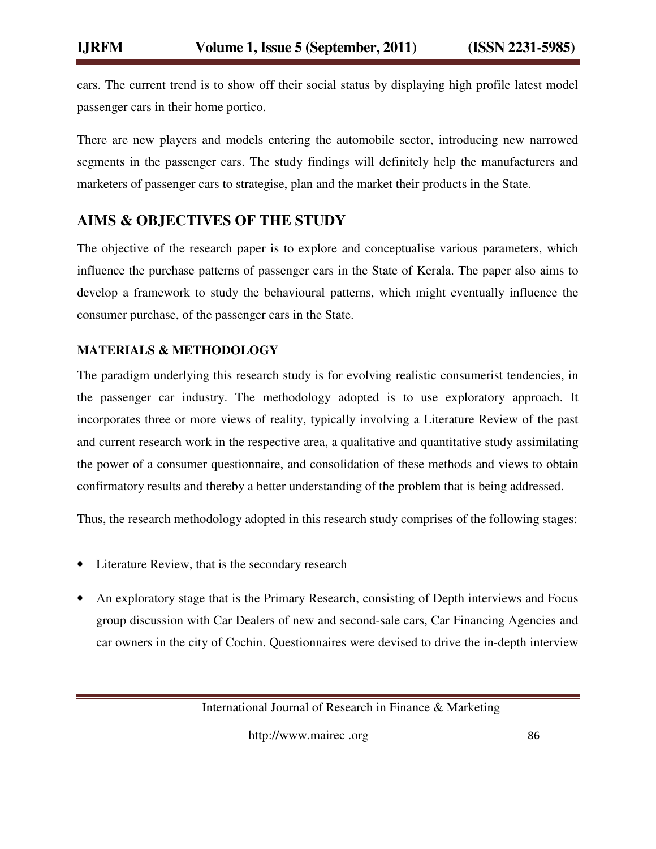cars. The current trend is to show off their social status by displaying high profile latest model passenger cars in their home portico.

There are new players and models entering the automobile sector, introducing new narrowed segments in the passenger cars. The study findings will definitely help the manufacturers and marketers of passenger cars to strategise, plan and the market their products in the State.

# **AIMS & OBJECTIVES OF THE STUDY**

The objective of the research paper is to explore and conceptualise various parameters, which influence the purchase patterns of passenger cars in the State of Kerala. The paper also aims to develop a framework to study the behavioural patterns, which might eventually influence the consumer purchase, of the passenger cars in the State.

### **MATERIALS & METHODOLOGY**

The paradigm underlying this research study is for evolving realistic consumerist tendencies, in the passenger car industry. The methodology adopted is to use exploratory approach. It incorporates three or more views of reality, typically involving a Literature Review of the past and current research work in the respective area, a qualitative and quantitative study assimilating the power of a consumer questionnaire, and consolidation of these methods and views to obtain confirmatory results and thereby a better understanding of the problem that is being addressed.

Thus, the research methodology adopted in this research study comprises of the following stages:

- Literature Review, that is the secondary research
- An exploratory stage that is the Primary Research, consisting of Depth interviews and Focus group discussion with Car Dealers of new and second-sale cars, Car Financing Agencies and car owners in the city of Cochin. Questionnaires were devised to drive the in-depth interview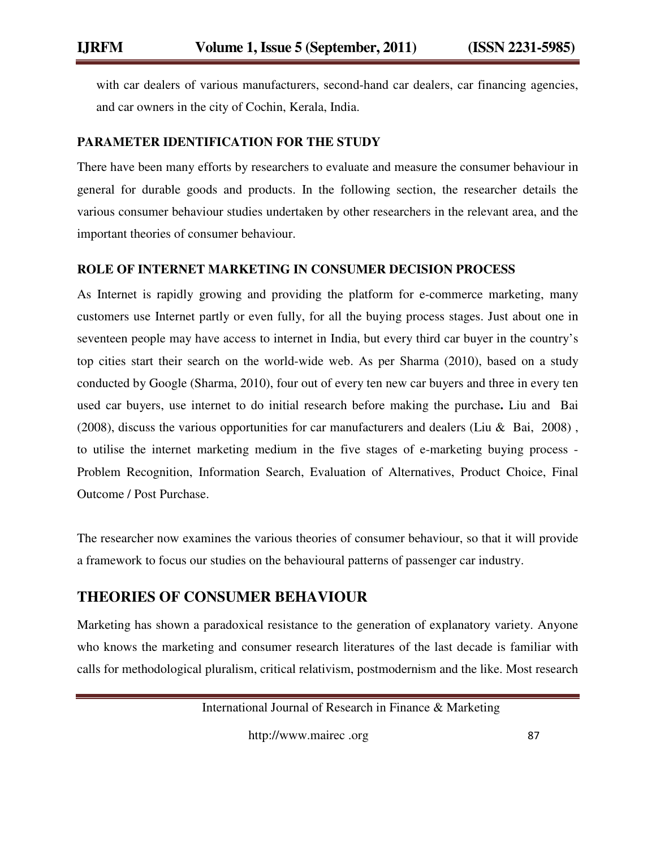with car dealers of various manufacturers, second-hand car dealers, car financing agencies, and car owners in the city of Cochin, Kerala, India.

### **PARAMETER IDENTIFICATION FOR THE STUDY**

There have been many efforts by researchers to evaluate and measure the consumer behaviour in general for durable goods and products. In the following section, the researcher details the various consumer behaviour studies undertaken by other researchers in the relevant area, and the important theories of consumer behaviour.

#### **ROLE OF INTERNET MARKETING IN CONSUMER DECISION PROCESS**

As Internet is rapidly growing and providing the platform for e-commerce marketing, many customers use Internet partly or even fully, for all the buying process stages. Just about one in seventeen people may have access to internet in India, but every third car buyer in the country's top cities start their search on the world-wide web. As per Sharma (2010), based on a study conducted by Google (Sharma, 2010), four out of every ten new car buyers and three in every ten used car buyers, use internet to do initial research before making the purchase**.** Liu and Bai (2008), discuss the various opportunities for car manufacturers and dealers (Liu & Bai, 2008), to utilise the internet marketing medium in the five stages of e-marketing buying process - Problem Recognition, Information Search, Evaluation of Alternatives, Product Choice, Final Outcome / Post Purchase.

The researcher now examines the various theories of consumer behaviour, so that it will provide a framework to focus our studies on the behavioural patterns of passenger car industry.

### **THEORIES OF CONSUMER BEHAVIOUR**

Marketing has shown a paradoxical resistance to the generation of explanatory variety. Anyone who knows the marketing and consumer research literatures of the last decade is familiar with calls for methodological pluralism, critical relativism, postmodernism and the like. Most research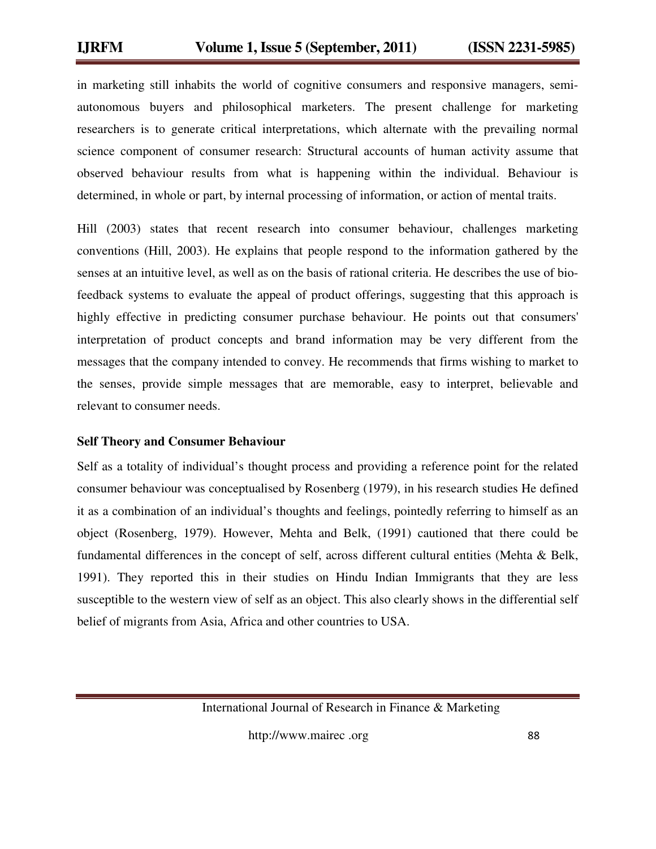in marketing still inhabits the world of cognitive consumers and responsive managers, semiautonomous buyers and philosophical marketers. The present challenge for marketing researchers is to generate critical interpretations, which alternate with the prevailing normal science component of consumer research: Structural accounts of human activity assume that observed behaviour results from what is happening within the individual. Behaviour is determined, in whole or part, by internal processing of information, or action of mental traits.

Hill (2003) states that recent research into consumer behaviour, challenges marketing conventions (Hill, 2003). He explains that people respond to the information gathered by the senses at an intuitive level, as well as on the basis of rational criteria. He describes the use of biofeedback systems to evaluate the appeal of product offerings, suggesting that this approach is highly effective in predicting consumer purchase behaviour. He points out that consumers' interpretation of product concepts and brand information may be very different from the messages that the company intended to convey. He recommends that firms wishing to market to the senses, provide simple messages that are memorable, easy to interpret, believable and relevant to consumer needs.

#### **Self Theory and Consumer Behaviour**

Self as a totality of individual's thought process and providing a reference point for the related consumer behaviour was conceptualised by Rosenberg (1979), in his research studies He defined it as a combination of an individual's thoughts and feelings, pointedly referring to himself as an object (Rosenberg, 1979). However, Mehta and Belk, (1991) cautioned that there could be fundamental differences in the concept of self, across different cultural entities (Mehta & Belk, 1991). They reported this in their studies on Hindu Indian Immigrants that they are less susceptible to the western view of self as an object. This also clearly shows in the differential self belief of migrants from Asia, Africa and other countries to USA.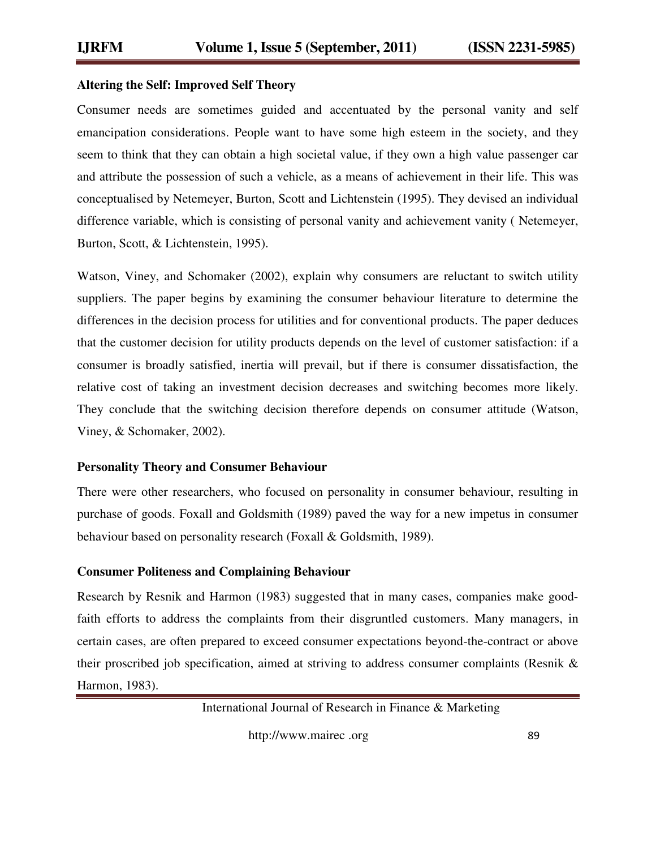### **Altering the Self: Improved Self Theory**

Consumer needs are sometimes guided and accentuated by the personal vanity and self emancipation considerations. People want to have some high esteem in the society, and they seem to think that they can obtain a high societal value, if they own a high value passenger car and attribute the possession of such a vehicle, as a means of achievement in their life. This was conceptualised by Netemeyer, Burton, Scott and Lichtenstein (1995). They devised an individual difference variable, which is consisting of personal vanity and achievement vanity ( Netemeyer, Burton, Scott, & Lichtenstein, 1995).

Watson, Viney, and Schomaker (2002), explain why consumers are reluctant to switch utility suppliers. The paper begins by examining the consumer behaviour literature to determine the differences in the decision process for utilities and for conventional products. The paper deduces that the customer decision for utility products depends on the level of customer satisfaction: if a consumer is broadly satisfied, inertia will prevail, but if there is consumer dissatisfaction, the relative cost of taking an investment decision decreases and switching becomes more likely. They conclude that the switching decision therefore depends on consumer attitude (Watson, Viney, & Schomaker, 2002).

#### **Personality Theory and Consumer Behaviour**

There were other researchers, who focused on personality in consumer behaviour, resulting in purchase of goods. Foxall and Goldsmith (1989) paved the way for a new impetus in consumer behaviour based on personality research (Foxall & Goldsmith, 1989).

### **Consumer Politeness and Complaining Behaviour**

Research by Resnik and Harmon (1983) suggested that in many cases, companies make goodfaith efforts to address the complaints from their disgruntled customers. Many managers, in certain cases, are often prepared to exceed consumer expectations beyond-the-contract or above their proscribed job specification, aimed at striving to address consumer complaints (Resnik & Harmon, 1983).

International Journal of Research in Finance & Marketing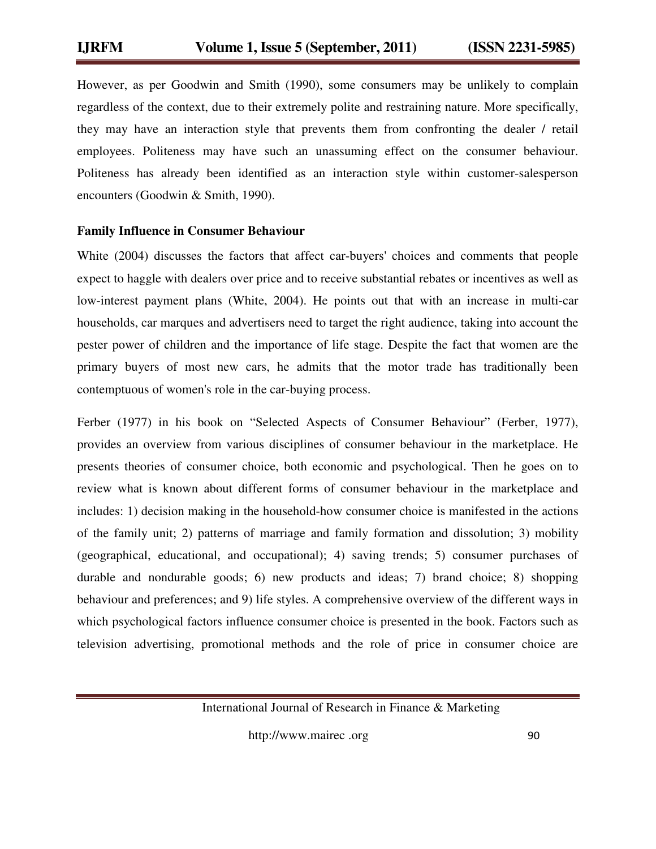However, as per Goodwin and Smith (1990), some consumers may be unlikely to complain regardless of the context, due to their extremely polite and restraining nature. More specifically, they may have an interaction style that prevents them from confronting the dealer / retail employees. Politeness may have such an unassuming effect on the consumer behaviour. Politeness has already been identified as an interaction style within customer-salesperson encounters (Goodwin & Smith, 1990).

#### **Family Influence in Consumer Behaviour**

White (2004) discusses the factors that affect car-buyers' choices and comments that people expect to haggle with dealers over price and to receive substantial rebates or incentives as well as low-interest payment plans (White, 2004). He points out that with an increase in multi-car households, car marques and advertisers need to target the right audience, taking into account the pester power of children and the importance of life stage. Despite the fact that women are the primary buyers of most new cars, he admits that the motor trade has traditionally been contemptuous of women's role in the car-buying process.

Ferber (1977) in his book on "Selected Aspects of Consumer Behaviour" (Ferber, 1977), provides an overview from various disciplines of consumer behaviour in the marketplace. He presents theories of consumer choice, both economic and psychological. Then he goes on to review what is known about different forms of consumer behaviour in the marketplace and includes: 1) decision making in the household-how consumer choice is manifested in the actions of the family unit; 2) patterns of marriage and family formation and dissolution; 3) mobility (geographical, educational, and occupational); 4) saving trends; 5) consumer purchases of durable and nondurable goods; 6) new products and ideas; 7) brand choice; 8) shopping behaviour and preferences; and 9) life styles. A comprehensive overview of the different ways in which psychological factors influence consumer choice is presented in the book. Factors such as television advertising, promotional methods and the role of price in consumer choice are

International Journal of Research in Finance & Marketing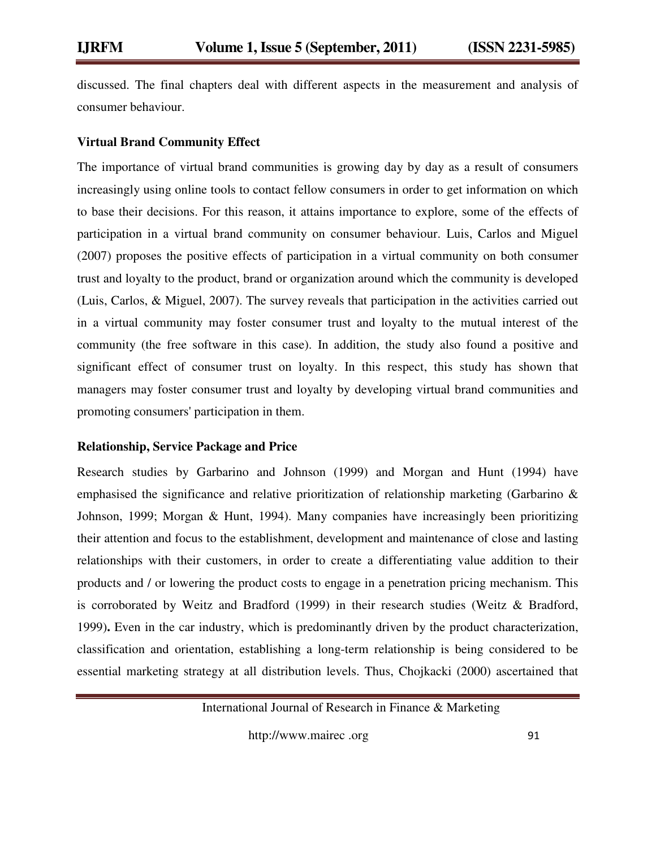discussed. The final chapters deal with different aspects in the measurement and analysis of consumer behaviour.

### **Virtual Brand Community Effect**

The importance of virtual brand communities is growing day by day as a result of consumers increasingly using online tools to contact fellow consumers in order to get information on which to base their decisions. For this reason, it attains importance to explore, some of the effects of participation in a virtual brand community on consumer behaviour. Luis, Carlos and Miguel (2007) proposes the positive effects of participation in a virtual community on both consumer trust and loyalty to the product, brand or organization around which the community is developed (Luis, Carlos, & Miguel, 2007). The survey reveals that participation in the activities carried out in a virtual community may foster consumer trust and loyalty to the mutual interest of the community (the free software in this case). In addition, the study also found a positive and significant effect of consumer trust on loyalty. In this respect, this study has shown that managers may foster consumer trust and loyalty by developing virtual brand communities and promoting consumers' participation in them.

#### **Relationship, Service Package and Price**

Research studies by Garbarino and Johnson (1999) and Morgan and Hunt (1994) have emphasised the significance and relative prioritization of relationship marketing (Garbarino & Johnson, 1999; Morgan & Hunt, 1994). Many companies have increasingly been prioritizing their attention and focus to the establishment, development and maintenance of close and lasting relationships with their customers, in order to create a differentiating value addition to their products and / or lowering the product costs to engage in a penetration pricing mechanism. This is corroborated by Weitz and Bradford (1999) in their research studies (Weitz & Bradford, 1999)**.** Even in the car industry, which is predominantly driven by the product characterization, classification and orientation, establishing a long-term relationship is being considered to be essential marketing strategy at all distribution levels. Thus, Chojkacki (2000) ascertained that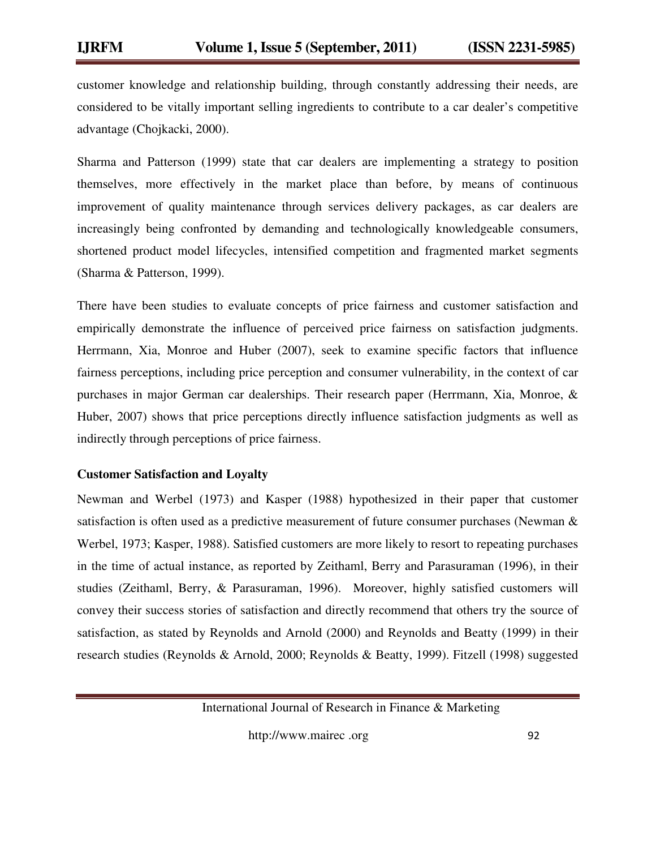customer knowledge and relationship building, through constantly addressing their needs, are considered to be vitally important selling ingredients to contribute to a car dealer's competitive advantage (Chojkacki, 2000).

Sharma and Patterson (1999) state that car dealers are implementing a strategy to position themselves, more effectively in the market place than before, by means of continuous improvement of quality maintenance through services delivery packages, as car dealers are increasingly being confronted by demanding and technologically knowledgeable consumers, shortened product model lifecycles, intensified competition and fragmented market segments (Sharma & Patterson, 1999).

There have been studies to evaluate concepts of price fairness and customer satisfaction and empirically demonstrate the influence of perceived price fairness on satisfaction judgments. Herrmann, Xia, Monroe and Huber (2007), seek to examine specific factors that influence fairness perceptions, including price perception and consumer vulnerability, in the context of car purchases in major German car dealerships. Their research paper (Herrmann, Xia, Monroe, & Huber, 2007) shows that price perceptions directly influence satisfaction judgments as well as indirectly through perceptions of price fairness.

#### **Customer Satisfaction and Loyalty**

Newman and Werbel (1973) and Kasper (1988) hypothesized in their paper that customer satisfaction is often used as a predictive measurement of future consumer purchases (Newman & Werbel, 1973; Kasper, 1988). Satisfied customers are more likely to resort to repeating purchases in the time of actual instance, as reported by Zeithaml, Berry and Parasuraman (1996), in their studies (Zeithaml, Berry, & Parasuraman, 1996). Moreover, highly satisfied customers will convey their success stories of satisfaction and directly recommend that others try the source of satisfaction, as stated by Reynolds and Arnold (2000) and Reynolds and Beatty (1999) in their research studies (Reynolds & Arnold, 2000; Reynolds & Beatty, 1999). Fitzell (1998) suggested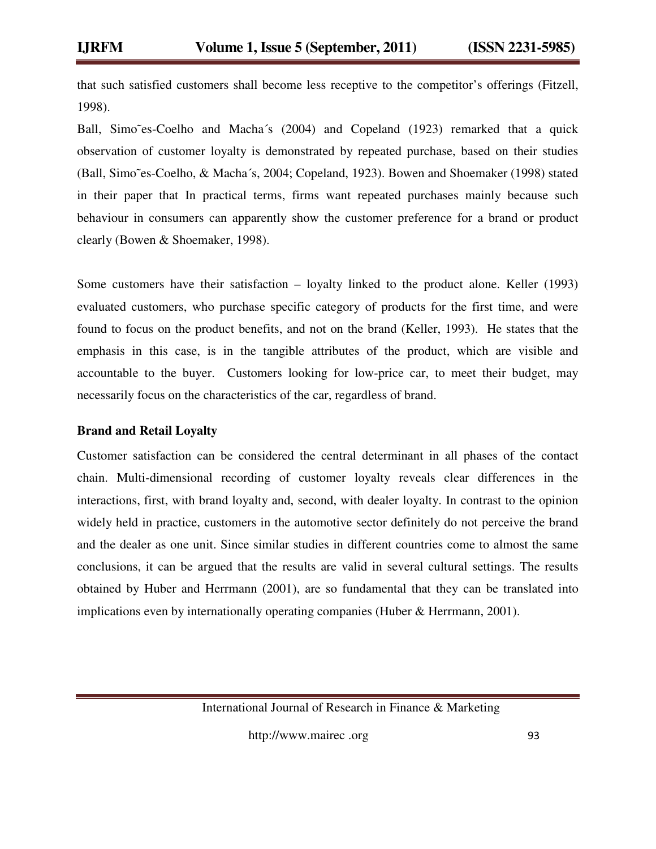that such satisfied customers shall become less receptive to the competitor's offerings (Fitzell, 1998).

Ball, Simo˜es-Coelho and Macha´s (2004) and Copeland (1923) remarked that a quick observation of customer loyalty is demonstrated by repeated purchase, based on their studies (Ball, Simo˜es-Coelho, & Macha´s, 2004; Copeland, 1923). Bowen and Shoemaker (1998) stated in their paper that In practical terms, firms want repeated purchases mainly because such behaviour in consumers can apparently show the customer preference for a brand or product clearly (Bowen & Shoemaker, 1998).

Some customers have their satisfaction – loyalty linked to the product alone. Keller (1993) evaluated customers, who purchase specific category of products for the first time, and were found to focus on the product benefits, and not on the brand (Keller, 1993). He states that the emphasis in this case, is in the tangible attributes of the product, which are visible and accountable to the buyer. Customers looking for low-price car, to meet their budget, may necessarily focus on the characteristics of the car, regardless of brand.

#### **Brand and Retail Loyalty**

Customer satisfaction can be considered the central determinant in all phases of the contact chain. Multi-dimensional recording of customer loyalty reveals clear differences in the interactions, first, with brand loyalty and, second, with dealer loyalty. In contrast to the opinion widely held in practice, customers in the automotive sector definitely do not perceive the brand and the dealer as one unit. Since similar studies in different countries come to almost the same conclusions, it can be argued that the results are valid in several cultural settings. The results obtained by Huber and Herrmann (2001), are so fundamental that they can be translated into implications even by internationally operating companies (Huber & Herrmann, 2001).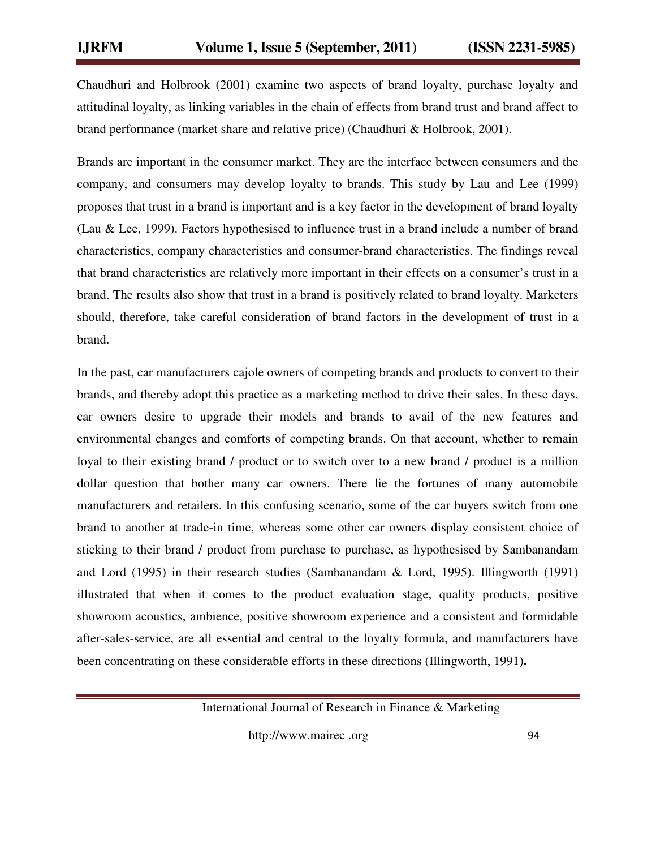Chaudhuri and Holbrook (2001) examine two aspects of brand loyalty, purchase loyalty and attitudinal loyalty, as linking variables in the chain of effects from brand trust and brand affect to brand performance (market share and relative price) (Chaudhuri & Holbrook, 2001).

Brands are important in the consumer market. They are the interface between consumers and the company, and consumers may develop loyalty to brands. This study by Lau and Lee (1999) proposes that trust in a brand is important and is a key factor in the development of brand loyalty (Lau & Lee, 1999). Factors hypothesised to influence trust in a brand include a number of brand characteristics, company characteristics and consumer-brand characteristics. The findings reveal that brand characteristics are relatively more important in their effects on a consumer's trust in a brand. The results also show that trust in a brand is positively related to brand loyalty. Marketers should, therefore, take careful consideration of brand factors in the development of trust in a brand.

In the past, car manufacturers cajole owners of competing brands and products to convert to their brands, and thereby adopt this practice as a marketing method to drive their sales. In these days, car owners desire to upgrade their models and brands to avail of the new features and environmental changes and comforts of competing brands. On that account, whether to remain loyal to their existing brand / product or to switch over to a new brand / product is a million dollar question that bother many car owners. There lie the fortunes of many automobile manufacturers and retailers. In this confusing scenario, some of the car buyers switch from one brand to another at trade-in time, whereas some other car owners display consistent choice of sticking to their brand / product from purchase to purchase, as hypothesised by Sambanandam and Lord (1995) in their research studies (Sambanandam & Lord, 1995). Illingworth (1991) illustrated that when it comes to the product evaluation stage, quality products, positive showroom acoustics, ambience, positive showroom experience and a consistent and formidable after-sales-service, are all essential and central to the loyalty formula, and manufacturers have been concentrating on these considerable efforts in these directions (Illingworth, 1991)**.**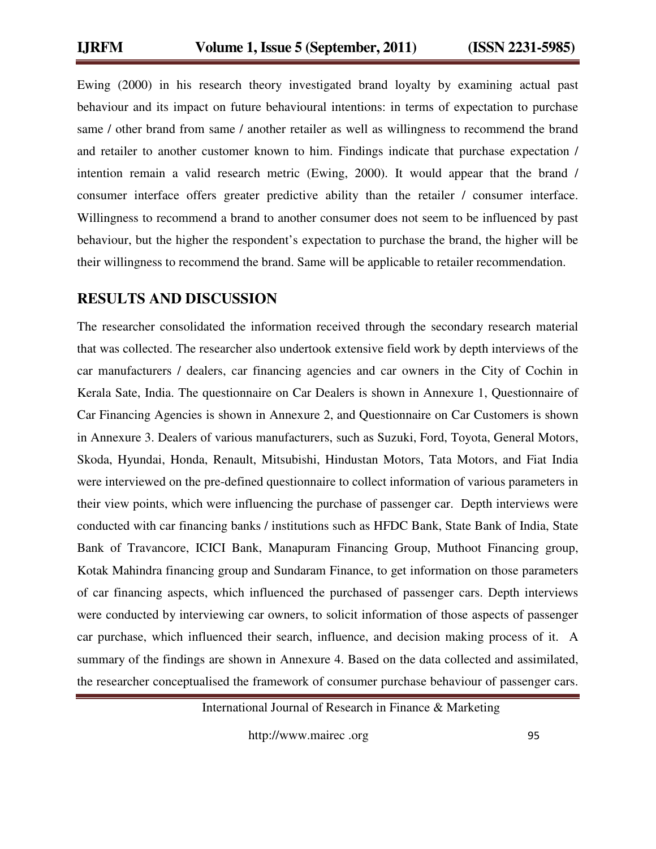Ewing (2000) in his research theory investigated brand loyalty by examining actual past behaviour and its impact on future behavioural intentions: in terms of expectation to purchase same / other brand from same / another retailer as well as willingness to recommend the brand and retailer to another customer known to him. Findings indicate that purchase expectation / intention remain a valid research metric (Ewing, 2000). It would appear that the brand / consumer interface offers greater predictive ability than the retailer / consumer interface. Willingness to recommend a brand to another consumer does not seem to be influenced by past behaviour, but the higher the respondent's expectation to purchase the brand, the higher will be their willingness to recommend the brand. Same will be applicable to retailer recommendation.

# **RESULTS AND DISCUSSION**

The researcher consolidated the information received through the secondary research material that was collected. The researcher also undertook extensive field work by depth interviews of the car manufacturers / dealers, car financing agencies and car owners in the City of Cochin in Kerala Sate, India. The questionnaire on Car Dealers is shown in Annexure 1, Questionnaire of Car Financing Agencies is shown in Annexure 2, and Questionnaire on Car Customers is shown in Annexure 3. Dealers of various manufacturers, such as Suzuki, Ford, Toyota, General Motors, Skoda, Hyundai, Honda, Renault, Mitsubishi, Hindustan Motors, Tata Motors, and Fiat India were interviewed on the pre-defined questionnaire to collect information of various parameters in their view points, which were influencing the purchase of passenger car. Depth interviews were conducted with car financing banks / institutions such as HFDC Bank, State Bank of India, State Bank of Travancore, ICICI Bank, Manapuram Financing Group, Muthoot Financing group, Kotak Mahindra financing group and Sundaram Finance, to get information on those parameters of car financing aspects, which influenced the purchased of passenger cars. Depth interviews were conducted by interviewing car owners, to solicit information of those aspects of passenger car purchase, which influenced their search, influence, and decision making process of it. A summary of the findings are shown in Annexure 4. Based on the data collected and assimilated, the researcher conceptualised the framework of consumer purchase behaviour of passenger cars.

International Journal of Research in Finance & Marketing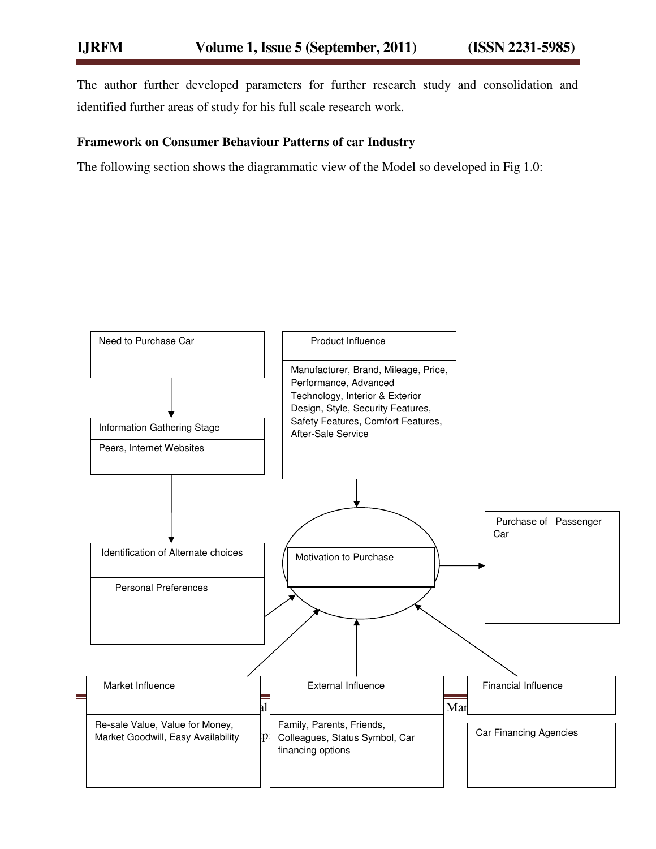The author further developed parameters for further research study and consolidation and identified further areas of study for his full scale research work.

### **Framework on Consumer Behaviour Patterns of car Industry**

The following section shows the diagrammatic view of the Model so developed in Fig 1.0:

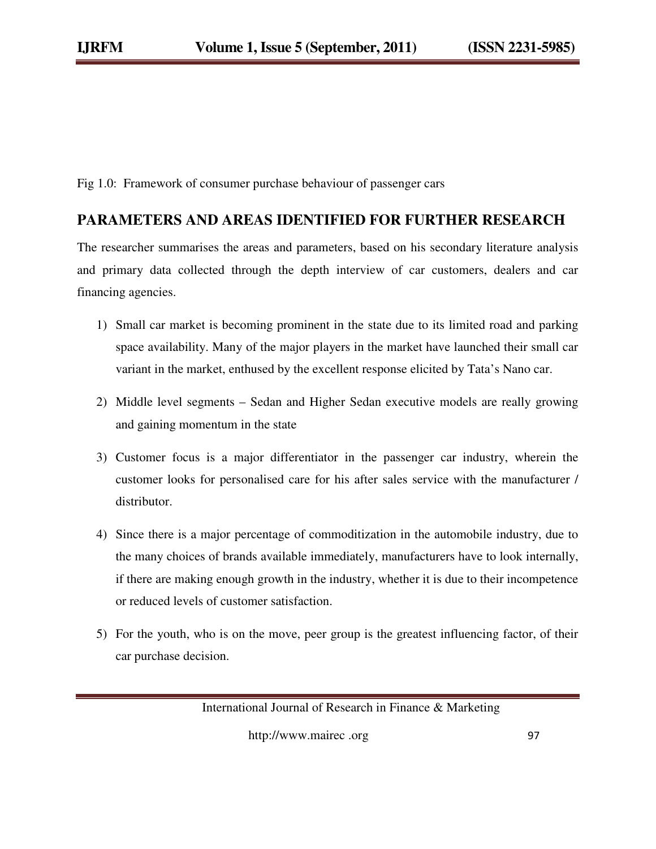Fig 1.0: Framework of consumer purchase behaviour of passenger cars

## **PARAMETERS AND AREAS IDENTIFIED FOR FURTHER RESEARCH**

The researcher summarises the areas and parameters, based on his secondary literature analysis and primary data collected through the depth interview of car customers, dealers and car financing agencies.

- 1) Small car market is becoming prominent in the state due to its limited road and parking space availability. Many of the major players in the market have launched their small car variant in the market, enthused by the excellent response elicited by Tata's Nano car.
- 2) Middle level segments Sedan and Higher Sedan executive models are really growing and gaining momentum in the state
- 3) Customer focus is a major differentiator in the passenger car industry, wherein the customer looks for personalised care for his after sales service with the manufacturer / distributor.
- 4) Since there is a major percentage of commoditization in the automobile industry, due to the many choices of brands available immediately, manufacturers have to look internally, if there are making enough growth in the industry, whether it is due to their incompetence or reduced levels of customer satisfaction.
- 5) For the youth, who is on the move, peer group is the greatest influencing factor, of their car purchase decision.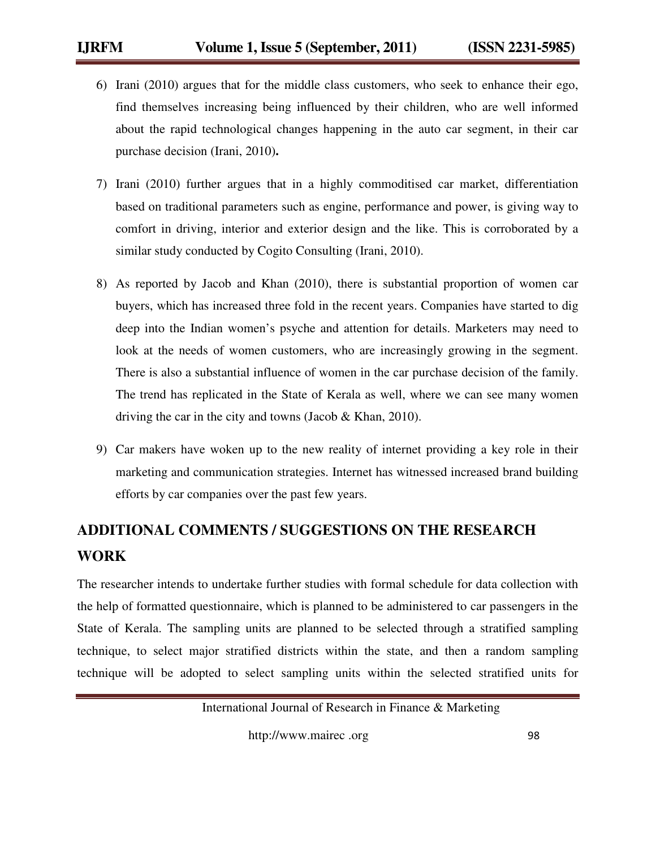- 6) Irani (2010) argues that for the middle class customers, who seek to enhance their ego, find themselves increasing being influenced by their children, who are well informed about the rapid technological changes happening in the auto car segment, in their car purchase decision (Irani, 2010)**.**
- 7) Irani (2010) further argues that in a highly commoditised car market, differentiation based on traditional parameters such as engine, performance and power, is giving way to comfort in driving, interior and exterior design and the like. This is corroborated by a similar study conducted by Cogito Consulting (Irani, 2010).
- 8) As reported by Jacob and Khan (2010), there is substantial proportion of women car buyers, which has increased three fold in the recent years. Companies have started to dig deep into the Indian women's psyche and attention for details. Marketers may need to look at the needs of women customers, who are increasingly growing in the segment. There is also a substantial influence of women in the car purchase decision of the family. The trend has replicated in the State of Kerala as well, where we can see many women driving the car in the city and towns (Jacob & Khan, 2010).
- 9) Car makers have woken up to the new reality of internet providing a key role in their marketing and communication strategies. Internet has witnessed increased brand building efforts by car companies over the past few years.

# **ADDITIONAL COMMENTS / SUGGESTIONS ON THE RESEARCH WORK**

The researcher intends to undertake further studies with formal schedule for data collection with the help of formatted questionnaire, which is planned to be administered to car passengers in the State of Kerala. The sampling units are planned to be selected through a stratified sampling technique, to select major stratified districts within the state, and then a random sampling technique will be adopted to select sampling units within the selected stratified units for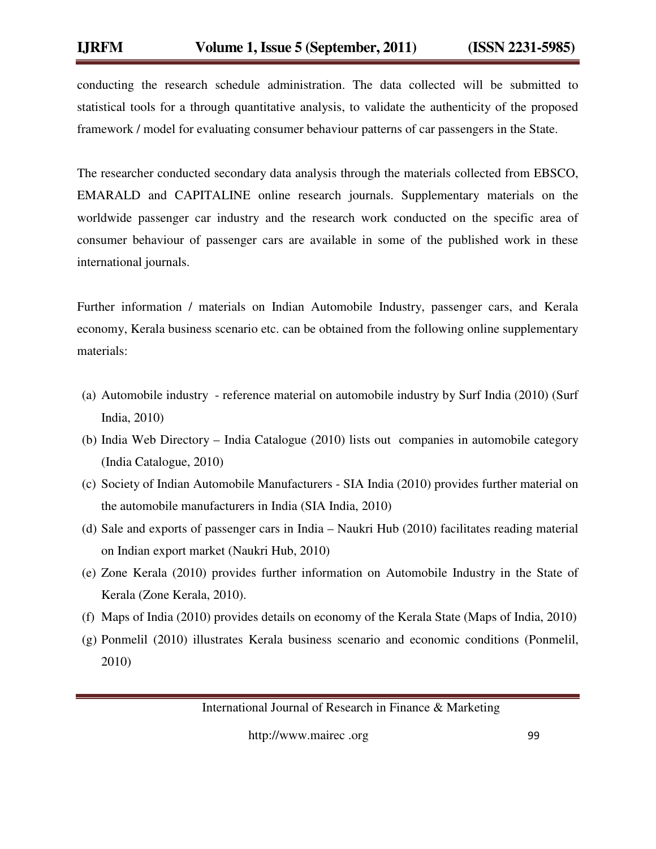conducting the research schedule administration. The data collected will be submitted to statistical tools for a through quantitative analysis, to validate the authenticity of the proposed framework / model for evaluating consumer behaviour patterns of car passengers in the State.

The researcher conducted secondary data analysis through the materials collected from EBSCO, EMARALD and CAPITALINE online research journals. Supplementary materials on the worldwide passenger car industry and the research work conducted on the specific area of consumer behaviour of passenger cars are available in some of the published work in these international journals.

Further information / materials on Indian Automobile Industry, passenger cars, and Kerala economy, Kerala business scenario etc. can be obtained from the following online supplementary materials:

- (a) Automobile industry reference material on automobile industry by Surf India (2010) (Surf India, 2010)
- (b) India Web Directory India Catalogue (2010) lists out companies in automobile category (India Catalogue, 2010)
- (c) Society of Indian Automobile Manufacturers SIA India (2010) provides further material on the automobile manufacturers in India (SIA India, 2010)
- (d) Sale and exports of passenger cars in India Naukri Hub (2010) facilitates reading material on Indian export market (Naukri Hub, 2010)
- (e) Zone Kerala (2010) provides further information on Automobile Industry in the State of Kerala (Zone Kerala, 2010).
- (f) Maps of India (2010) provides details on economy of the Kerala State (Maps of India, 2010)
- (g) Ponmelil (2010) illustrates Kerala business scenario and economic conditions (Ponmelil, 2010)

International Journal of Research in Finance & Marketing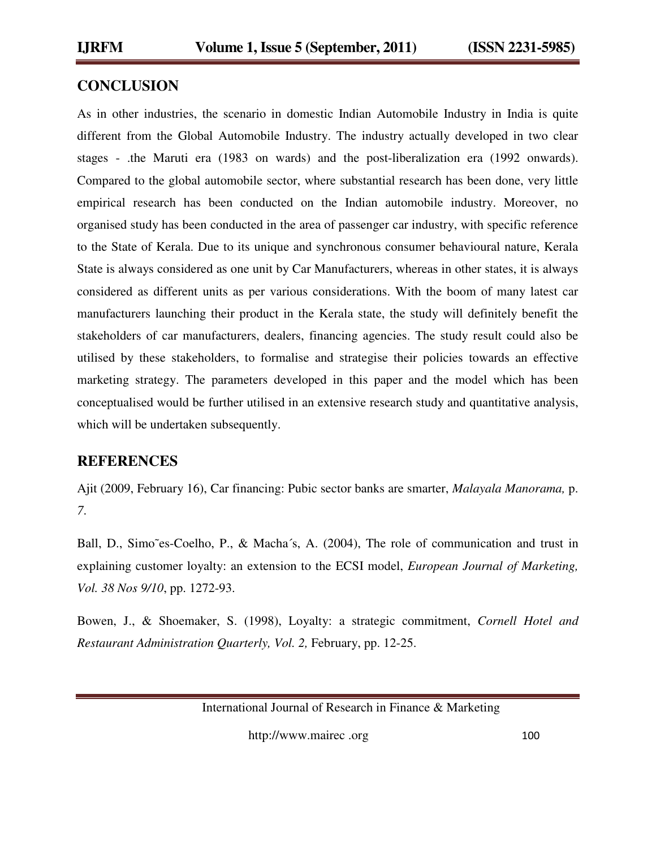## **CONCLUSION**

As in other industries, the scenario in domestic Indian Automobile Industry in India is quite different from the Global Automobile Industry. The industry actually developed in two clear stages - .the Maruti era (1983 on wards) and the post-liberalization era (1992 onwards). Compared to the global automobile sector, where substantial research has been done, very little empirical research has been conducted on the Indian automobile industry. Moreover, no organised study has been conducted in the area of passenger car industry, with specific reference to the State of Kerala. Due to its unique and synchronous consumer behavioural nature, Kerala State is always considered as one unit by Car Manufacturers, whereas in other states, it is always considered as different units as per various considerations. With the boom of many latest car manufacturers launching their product in the Kerala state, the study will definitely benefit the stakeholders of car manufacturers, dealers, financing agencies. The study result could also be utilised by these stakeholders, to formalise and strategise their policies towards an effective marketing strategy. The parameters developed in this paper and the model which has been conceptualised would be further utilised in an extensive research study and quantitative analysis, which will be undertaken subsequently.

## **REFERENCES**

Ajit (2009, February 16), Car financing: Pubic sector banks are smarter, *Malayala Manorama,* p. *7*.

Ball, D., Simo~es-Coelho, P., & Macha´s, A. (2004), The role of communication and trust in explaining customer loyalty: an extension to the ECSI model, *European Journal of Marketing, Vol. 38 Nos 9/10*, pp. 1272-93.

Bowen, J., & Shoemaker, S. (1998), Loyalty: a strategic commitment, *Cornell Hotel and Restaurant Administration Quarterly, Vol. 2,* February, pp. 12-25.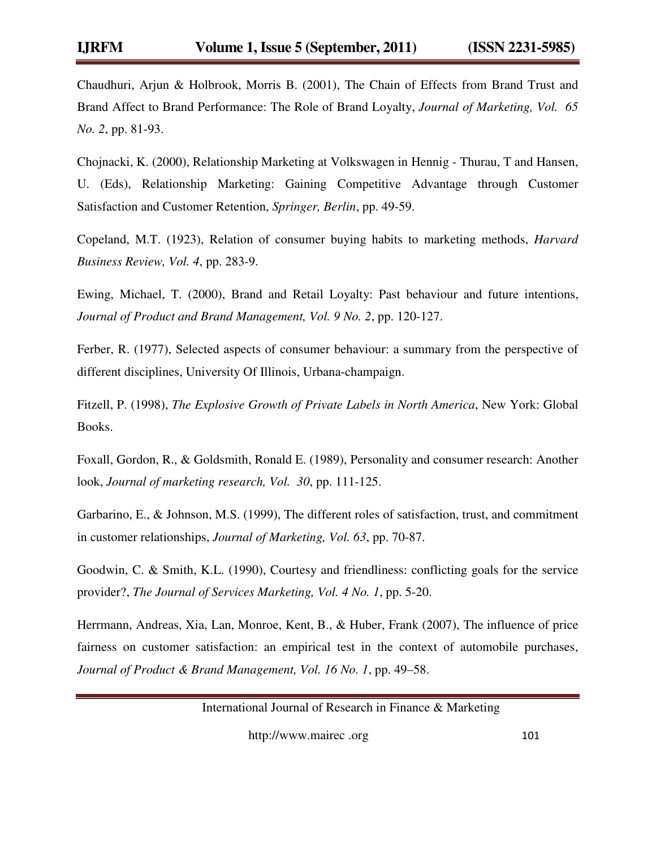Chaudhuri, Arjun & Holbrook, Morris B. (2001), The Chain of Effects from Brand Trust and Brand Affect to Brand Performance: The Role of Brand Loyalty, *Journal of Marketing, Vol. 65 No. 2*, pp. 81-93.

Chojnacki, K. (2000), Relationship Marketing at Volkswagen in Hennig - Thurau, T and Hansen, U. (Eds), Relationship Marketing: Gaining Competitive Advantage through Customer Satisfaction and Customer Retention, *Springer, Berlin*, pp. 49-59.

Copeland, M.T. (1923), Relation of consumer buying habits to marketing methods, *Harvard Business Review, Vol. 4*, pp. 283-9.

Ewing, Michael, T. (2000), Brand and Retail Loyalty: Past behaviour and future intentions, *Journal of Product and Brand Management, Vol. 9 No. 2*, pp. 120-127.

Ferber, R. (1977), Selected aspects of consumer behaviour: a summary from the perspective of different disciplines, University Of Illinois, Urbana-champaign.

Fitzell, P. (1998), *The Explosive Growth of Private Labels in North America*, New York: Global Books.

Foxall, Gordon, R., & Goldsmith, Ronald E. (1989), Personality and consumer research: Another look, *Journal of marketing research, Vol. 30*, pp. 111-125.

Garbarino, E., & Johnson, M.S. (1999), The different roles of satisfaction, trust, and commitment in customer relationships, *Journal of Marketing, Vol. 63*, pp. 70-87.

Goodwin, C. & Smith, K.L. (1990), Courtesy and friendliness: conflicting goals for the service provider?, *The Journal of Services Marketing, Vol. 4 No. 1*, pp. 5-20.

Herrmann, Andreas, Xia, Lan, Monroe, Kent, B., & Huber, Frank (2007), The influence of price fairness on customer satisfaction: an empirical test in the context of automobile purchases, *Journal of Product & Brand Management, Vol. 16 No. 1*, pp. 49–58.

International Journal of Research in Finance & Marketing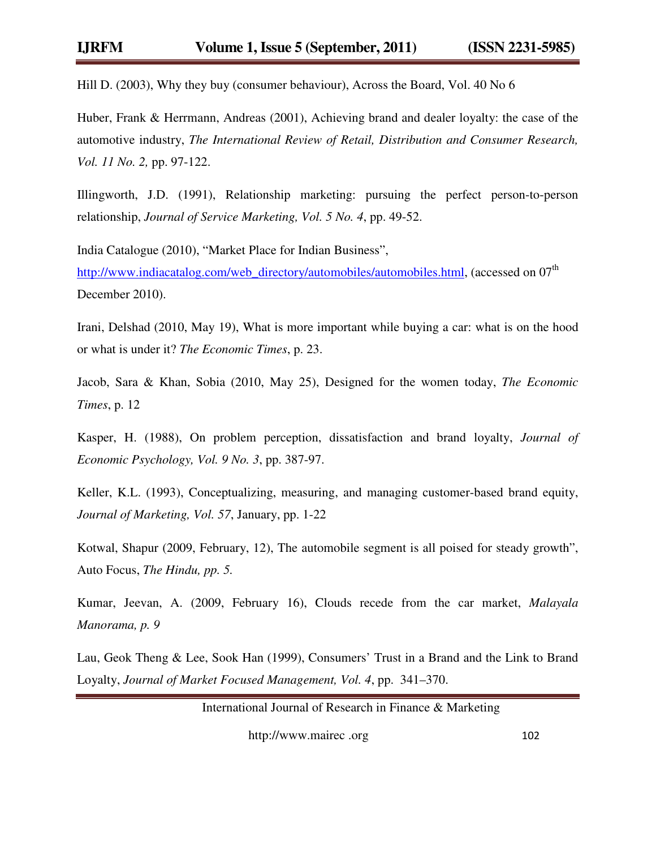Hill D. (2003), Why they buy (consumer behaviour), Across the Board, Vol. 40 No 6

Huber, Frank & Herrmann, Andreas (2001), Achieving brand and dealer loyalty: the case of the automotive industry, *The International Review of Retail, Distribution and Consumer Research, Vol. 11 No. 2,* pp. 97-122.

Illingworth, J.D. (1991), Relationship marketing: pursuing the perfect person-to-person relationship, *Journal of Service Marketing, Vol. 5 No. 4*, pp. 49-52.

India Catalogue (2010), "Market Place for Indian Business", http://www.indiacatalog.com/web\_directory/automobiles/automobiles.html, (accessed on 07<sup>th</sup> December 2010).

Irani, Delshad (2010, May 19), What is more important while buying a car: what is on the hood or what is under it? *The Economic Times*, p. 23.

Jacob, Sara & Khan, Sobia (2010, May 25), Designed for the women today, *The Economic Times*, p. 12

Kasper, H. (1988), On problem perception, dissatisfaction and brand loyalty, *Journal of Economic Psychology, Vol. 9 No. 3*, pp. 387-97.

Keller, K.L. (1993), Conceptualizing, measuring, and managing customer-based brand equity, *Journal of Marketing, Vol. 57*, January, pp. 1-22

Kotwal, Shapur (2009, February, 12), The automobile segment is all poised for steady growth", Auto Focus, *The Hindu, pp. 5.*

Kumar, Jeevan, A. (2009, February 16), Clouds recede from the car market, *Malayala Manorama, p. 9*

Lau, Geok Theng & Lee, Sook Han (1999), Consumers' Trust in a Brand and the Link to Brand Loyalty, *Journal of Market Focused Management, Vol. 4*, pp. 341–370.

International Journal of Research in Finance & Marketing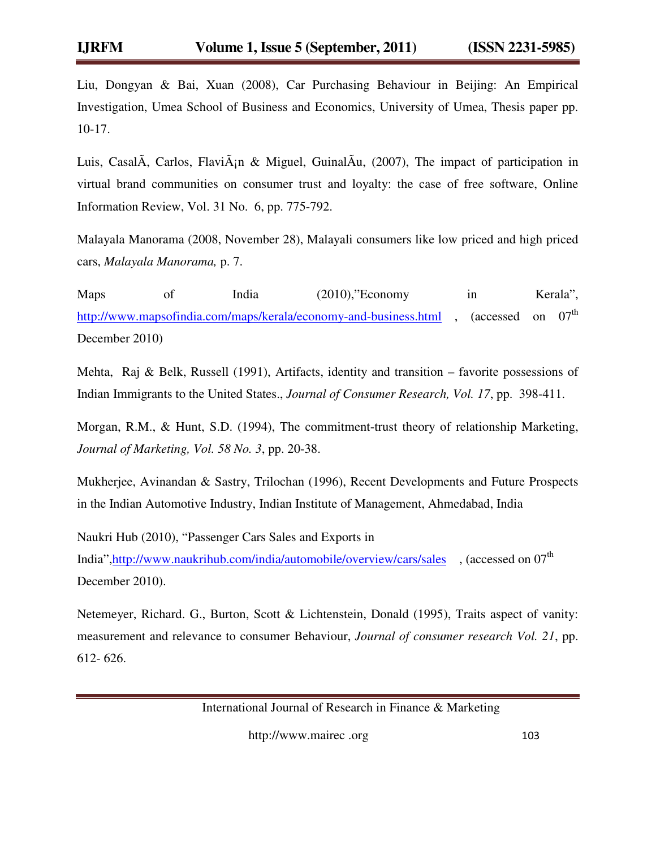Liu, Dongyan & Bai, Xuan (2008), Car Purchasing Behaviour in Beijing: An Empirical Investigation, Umea School of Business and Economics, University of Umea, Thesis paper pp. 10-17.

Luis, Casal $\tilde{A}$ , Carlos, Flavi $\tilde{A}$ ;n & Miguel, Guinal $\tilde{A}$ u, (2007), The impact of participation in virtual brand communities on consumer trust and loyalty: the case of free software, Online Information Review, Vol. 31 No. 6, pp. 775-792.

Malayala Manorama (2008, November 28), Malayali consumers like low priced and high priced cars, *Malayala Manorama,* p. 7.

Maps of India (2010),"Economy in Kerala", http://www.mapsofindia.com/maps/kerala/economy-and-business.html , (accessed on 07<sup>th</sup>) December 2010)

Mehta, Raj & Belk, Russell (1991), Artifacts, identity and transition – favorite possessions of Indian Immigrants to the United States., *Journal of Consumer Research, Vol. 17*, pp. 398-411.

Morgan, R.M., & Hunt, S.D. (1994), The commitment-trust theory of relationship Marketing, *Journal of Marketing, Vol. 58 No. 3*, pp. 20-38.

Mukherjee, Avinandan & Sastry, Trilochan (1996), Recent Developments and Future Prospects in the Indian Automotive Industry, Indian Institute of Management, Ahmedabad, India

Naukri Hub (2010), "Passenger Cars Sales and Exports in

India",http://www.naukrihub.com/india/automobile/overview/cars/sales , (accessed on 07<sup>th</sup> December 2010).

Netemeyer, Richard. G., Burton, Scott & Lichtenstein, Donald (1995), Traits aspect of vanity: measurement and relevance to consumer Behaviour, *Journal of consumer research Vol. 21*, pp. 612- 626.

International Journal of Research in Finance & Marketing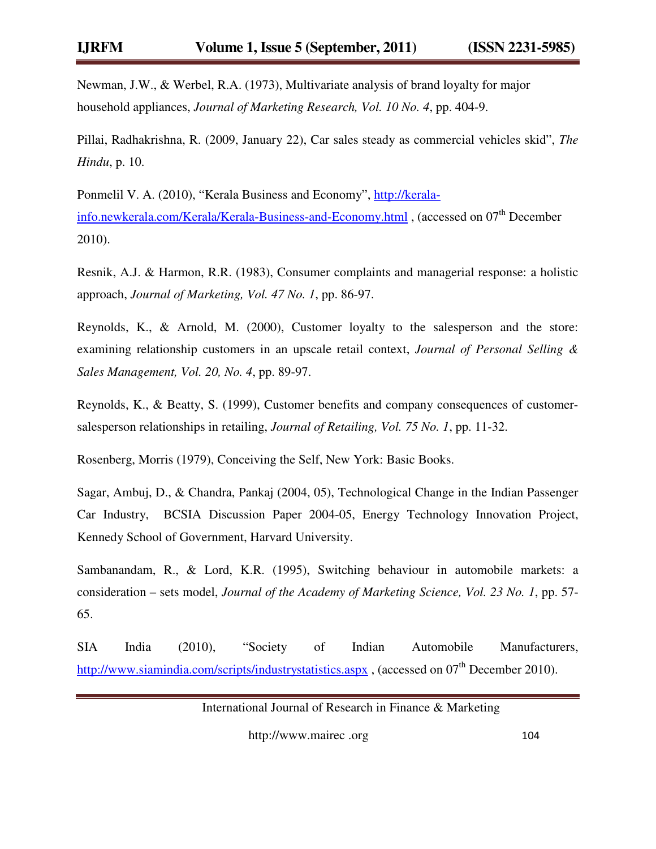Newman, J.W., & Werbel, R.A. (1973), Multivariate analysis of brand loyalty for major household appliances, *Journal of Marketing Research, Vol. 10 No. 4*, pp. 404-9.

Pillai, Radhakrishna, R. (2009, January 22), Car sales steady as commercial vehicles skid", *The Hindu*, p. 10.

Ponmelil V. A. (2010), "Kerala Business and Economy", http://keralainfo.newkerala.com/Kerala/Kerala-Business-and-Economy.html, (accessed on 07<sup>th</sup> December 2010).

Resnik, A.J. & Harmon, R.R. (1983), Consumer complaints and managerial response: a holistic approach, *Journal of Marketing, Vol. 47 No. 1*, pp. 86-97.

Reynolds, K., & Arnold, M. (2000), Customer loyalty to the salesperson and the store: examining relationship customers in an upscale retail context, *Journal of Personal Selling & Sales Management, Vol. 20, No. 4*, pp. 89-97.

Reynolds, K., & Beatty, S. (1999), Customer benefits and company consequences of customersalesperson relationships in retailing, *Journal of Retailing, Vol. 75 No. 1*, pp. 11-32.

Rosenberg, Morris (1979), Conceiving the Self, New York: Basic Books.

Sagar, Ambuj, D., & Chandra, Pankaj (2004, 05), Technological Change in the Indian Passenger Car Industry, BCSIA Discussion Paper 2004-05, Energy Technology Innovation Project, Kennedy School of Government, Harvard University.

Sambanandam, R., & Lord, K.R. (1995), Switching behaviour in automobile markets: a consideration – sets model, *Journal of the Academy of Marketing Science, Vol. 23 No. 1*, pp. 57- 65.

SIA India (2010), "Society of Indian Automobile Manufacturers, http://www.siamindia.com/scripts/industrystatistics.aspx, (accessed on 07<sup>th</sup> December 2010).

International Journal of Research in Finance & Marketing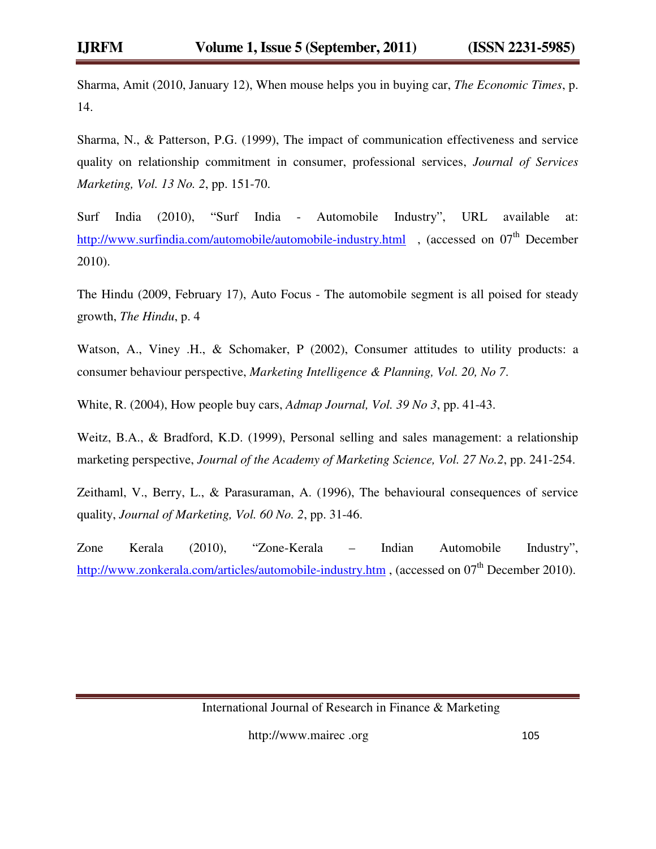Sharma, Amit (2010, January 12), When mouse helps you in buying car, *The Economic Times*, p. 14.

Sharma, N., & Patterson, P.G. (1999), The impact of communication effectiveness and service quality on relationship commitment in consumer, professional services, *Journal of Services Marketing, Vol. 13 No. 2*, pp. 151-70.

Surf India (2010), "Surf India - Automobile Industry", URL available at: http://www.surfindia.com/automobile/automobile-industry.html, (accessed on 07<sup>th</sup> December 2010).

The Hindu (2009, February 17), Auto Focus - The automobile segment is all poised for steady growth, *The Hindu*, p. 4

Watson, A., Viney .H., & Schomaker, P (2002), Consumer attitudes to utility products: a consumer behaviour perspective, *Marketing Intelligence & Planning, Vol. 20, No 7*.

White, R. (2004), How people buy cars, *Admap Journal, Vol. 39 No 3*, pp. 41-43.

Weitz, B.A., & Bradford, K.D. (1999), Personal selling and sales management: a relationship marketing perspective, *Journal of the Academy of Marketing Science, Vol. 27 No.2*, pp. 241-254.

Zeithaml, V., Berry, L., & Parasuraman, A. (1996), The behavioural consequences of service quality, *Journal of Marketing, Vol. 60 No. 2*, pp. 31-46.

Zone Kerala (2010), "Zone-Kerala – Indian Automobile Industry", http://www.zonkerala.com/articles/automobile-industry.htm , (accessed on 07<sup>th</sup> December 2010).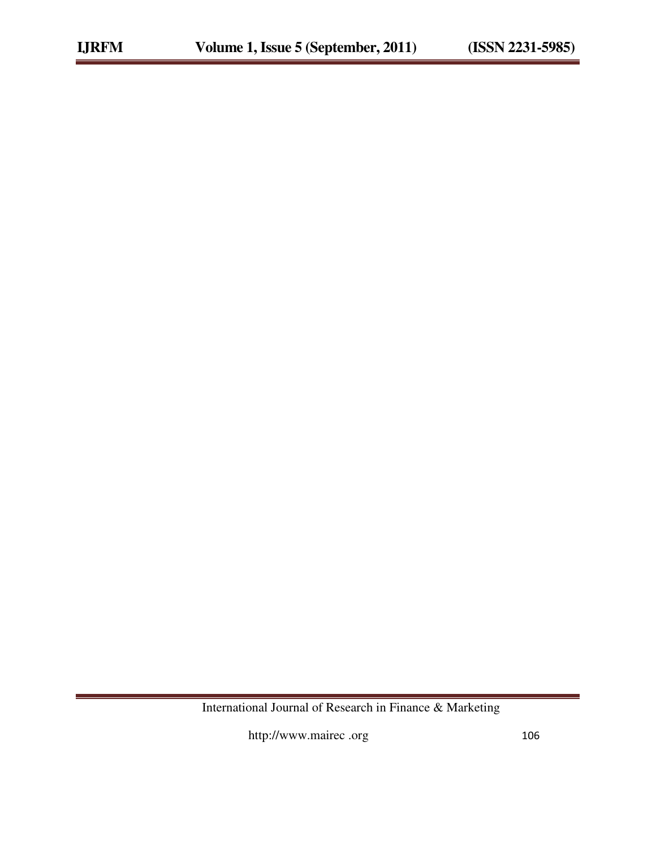International Journal of Research in Finance & Marketing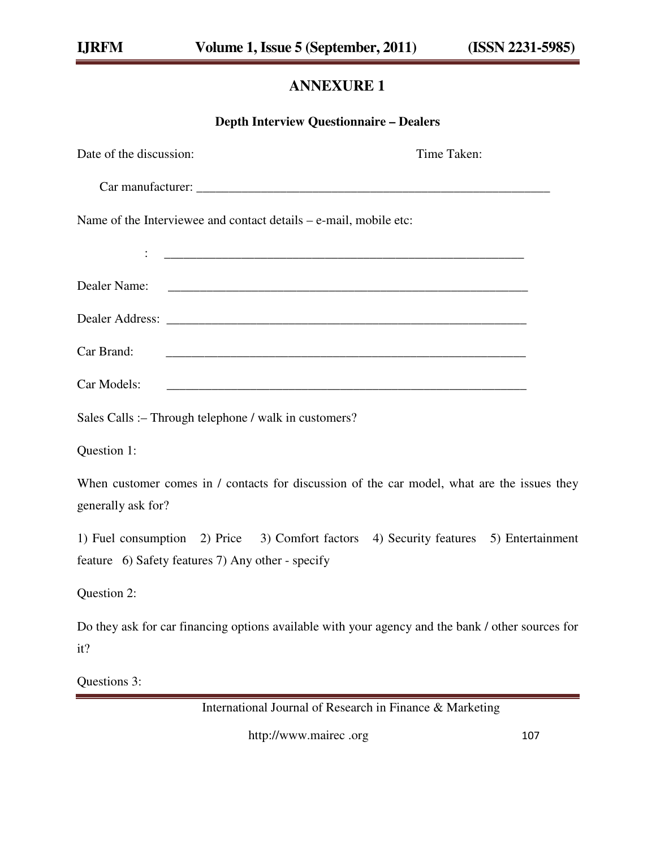# **ANNEXURE 1**

| <b>Depth Interview Questionnaire - Dealers</b> |  |
|------------------------------------------------|--|
|------------------------------------------------|--|

| Date of the discussion:                               | Time Taken:                                                                                                            |  |
|-------------------------------------------------------|------------------------------------------------------------------------------------------------------------------------|--|
|                                                       |                                                                                                                        |  |
|                                                       | Name of the Interviewee and contact details – e-mail, mobile etc:                                                      |  |
|                                                       |                                                                                                                        |  |
| Dealer Name:                                          | <u> 1989 - Andrea Barbara, amerikana amerikana amerikana amerikana amerikana amerikana amerikana amerikana amerika</u> |  |
|                                                       |                                                                                                                        |  |
| Car Brand:                                            |                                                                                                                        |  |
| Car Models:                                           |                                                                                                                        |  |
| Sales Calls :- Through telephone / walk in customers? |                                                                                                                        |  |
| Question 1:                                           |                                                                                                                        |  |
| generally ask for?                                    | When customer comes in / contacts for discussion of the car model, what are the issues they                            |  |
| feature 6) Safety features 7) Any other - specify     | 1) Fuel consumption 2) Price 3) Comfort factors 4) Security features 5) Entertainment                                  |  |
| Question 2:                                           |                                                                                                                        |  |
| it?                                                   | Do they ask for car financing options available with your agency and the bank / other sources for                      |  |
| Questions 3:                                          |                                                                                                                        |  |
|                                                       | International Journal of Research in Finance & Marketing                                                               |  |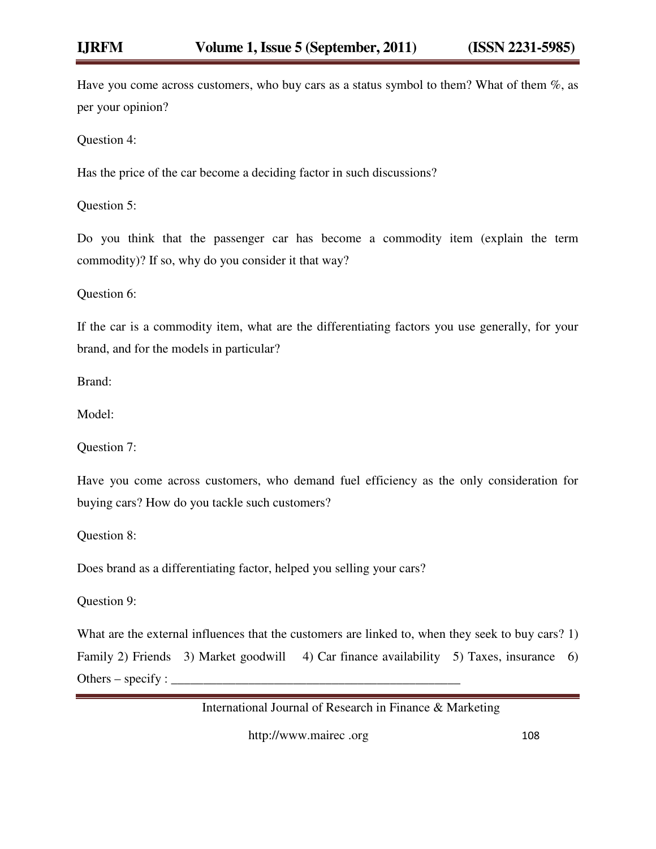Have you come across customers, who buy cars as a status symbol to them? What of them  $\%$ , as per your opinion?

Question 4:

Has the price of the car become a deciding factor in such discussions?

Question 5:

Do you think that the passenger car has become a commodity item (explain the term commodity)? If so, why do you consider it that way?

Question 6:

If the car is a commodity item, what are the differentiating factors you use generally, for your brand, and for the models in particular?

Brand:

Model:

Question 7:

Have you come across customers, who demand fuel efficiency as the only consideration for buying cars? How do you tackle such customers?

Question 8:

Does brand as a differentiating factor, helped you selling your cars?

Question 9:

What are the external influences that the customers are linked to, when they seek to buy cars? 1) Family 2) Friends 3) Market goodwill 4) Car finance availability 5) Taxes, insurance 6) Others – specify :  $\_\_$ 

International Journal of Research in Finance & Marketing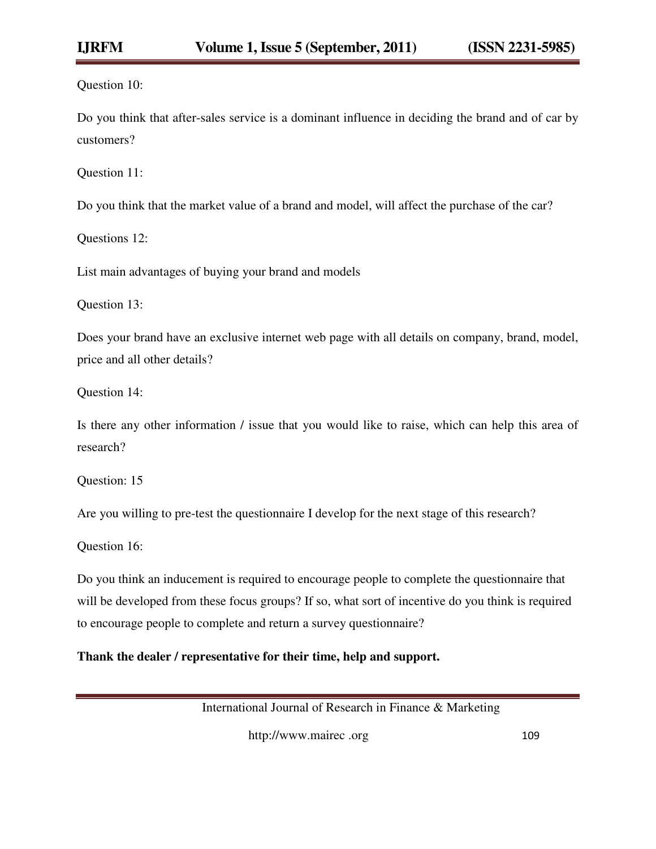Question 10:

Do you think that after-sales service is a dominant influence in deciding the brand and of car by customers?

Question 11:

Do you think that the market value of a brand and model, will affect the purchase of the car?

Questions 12:

List main advantages of buying your brand and models

Question 13:

Does your brand have an exclusive internet web page with all details on company, brand, model, price and all other details?

Question 14:

Is there any other information / issue that you would like to raise, which can help this area of research?

Question: 15

Are you willing to pre-test the questionnaire I develop for the next stage of this research?

Question 16:

Do you think an inducement is required to encourage people to complete the questionnaire that will be developed from these focus groups? If so, what sort of incentive do you think is required to encourage people to complete and return a survey questionnaire?

### **Thank the dealer / representative for their time, help and support.**

International Journal of Research in Finance & Marketing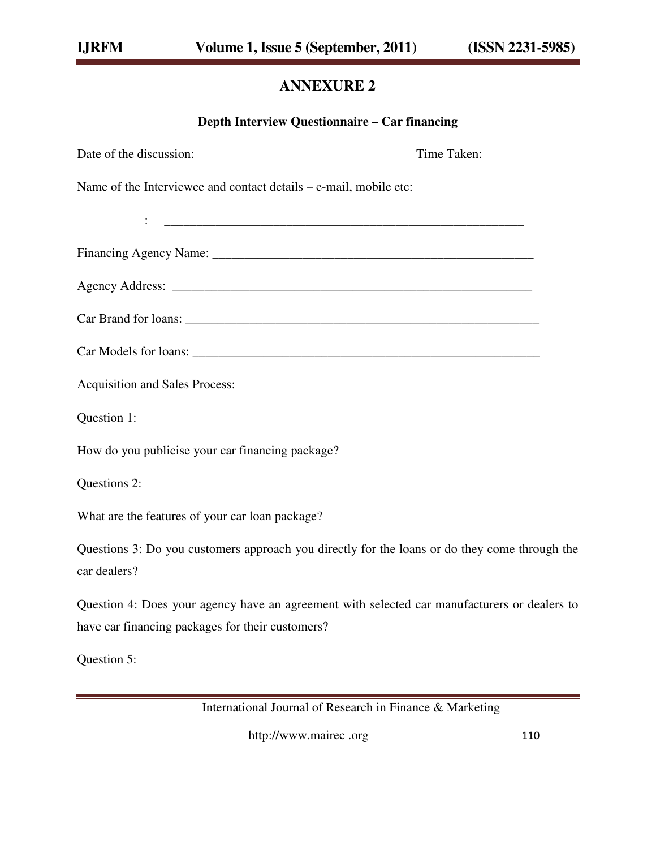# **ANNEXURE 2**

# **Depth Interview Questionnaire – Car financing**

| Date of the discussion:                                                                                                                          | Time Taken: |
|--------------------------------------------------------------------------------------------------------------------------------------------------|-------------|
| Name of the Interviewee and contact details – e-mail, mobile etc:                                                                                |             |
|                                                                                                                                                  |             |
|                                                                                                                                                  |             |
|                                                                                                                                                  |             |
|                                                                                                                                                  |             |
|                                                                                                                                                  |             |
| <b>Acquisition and Sales Process:</b>                                                                                                            |             |
| Question 1:                                                                                                                                      |             |
| How do you publicise your car financing package?                                                                                                 |             |
| Questions 2:                                                                                                                                     |             |
| What are the features of your car loan package?                                                                                                  |             |
| Questions 3: Do you customers approach you directly for the loans or do they come through the<br>car dealers?                                    |             |
| Question 4: Does your agency have an agreement with selected car manufacturers or dealers to<br>have car financing packages for their customers? |             |
| Question 5:                                                                                                                                      |             |

International Journal of Research in Finance & Marketing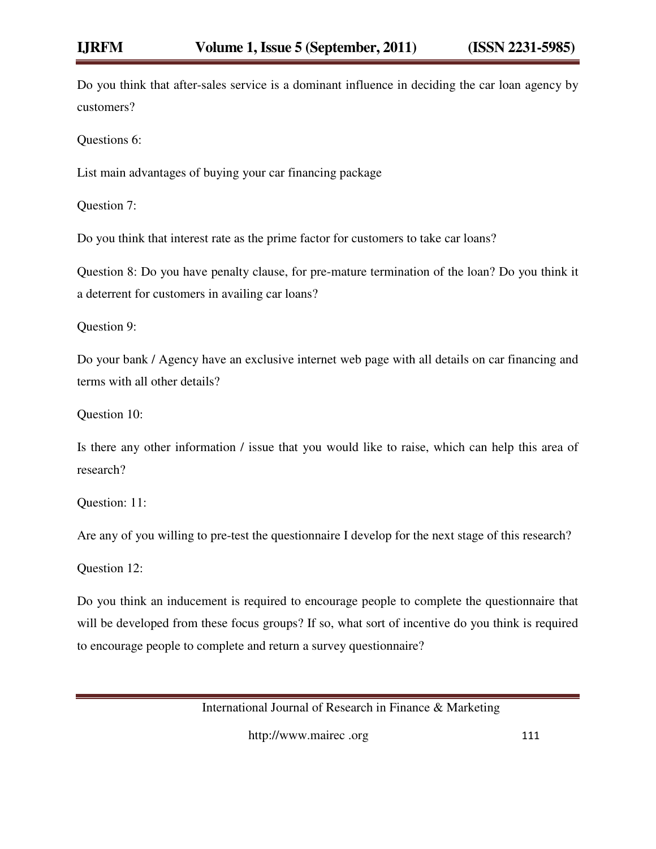Do you think that after-sales service is a dominant influence in deciding the car loan agency by customers?

Questions 6:

List main advantages of buying your car financing package

Question 7:

Do you think that interest rate as the prime factor for customers to take car loans?

Question 8: Do you have penalty clause, for pre-mature termination of the loan? Do you think it a deterrent for customers in availing car loans?

Question 9:

Do your bank / Agency have an exclusive internet web page with all details on car financing and terms with all other details?

Question 10:

Is there any other information / issue that you would like to raise, which can help this area of research?

Question: 11:

Are any of you willing to pre-test the questionnaire I develop for the next stage of this research?

Question 12:

Do you think an inducement is required to encourage people to complete the questionnaire that will be developed from these focus groups? If so, what sort of incentive do you think is required to encourage people to complete and return a survey questionnaire?

International Journal of Research in Finance & Marketing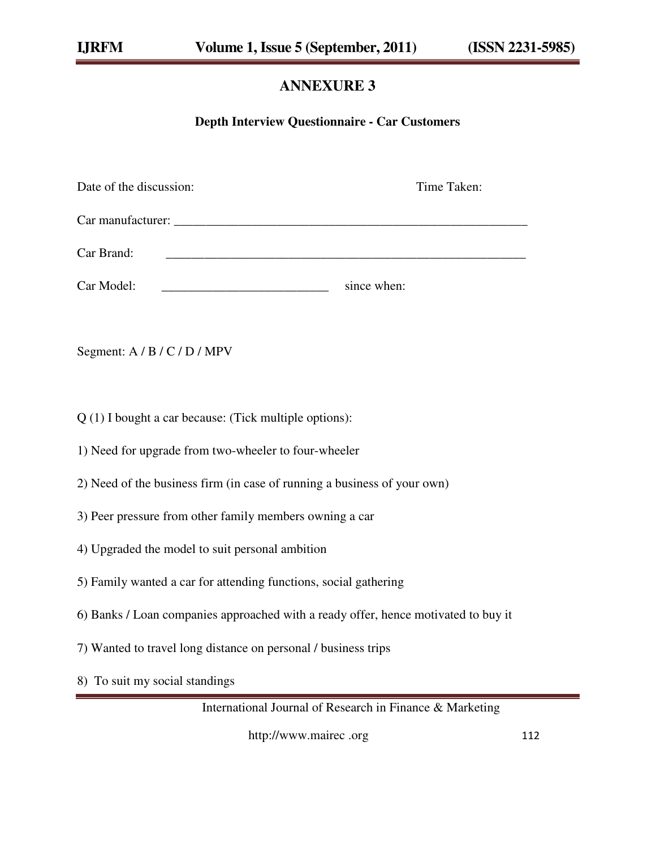## **ANNEXURE 3**

### **Depth Interview Questionnaire - Car Customers**

| Date of the discussion: | Time Taken: |
|-------------------------|-------------|
|                         |             |
| Car Brand:              |             |
| Car Model:              | since when: |

Segment: A / B / C / D / MPV

Q (1) I bought a car because: (Tick multiple options):

1) Need for upgrade from two-wheeler to four-wheeler

- 2) Need of the business firm (in case of running a business of your own)
- 3) Peer pressure from other family members owning a car
- 4) Upgraded the model to suit personal ambition
- 5) Family wanted a car for attending functions, social gathering
- 6) Banks / Loan companies approached with a ready offer, hence motivated to buy it
- 7) Wanted to travel long distance on personal / business trips
- 8) To suit my social standings

International Journal of Research in Finance & Marketing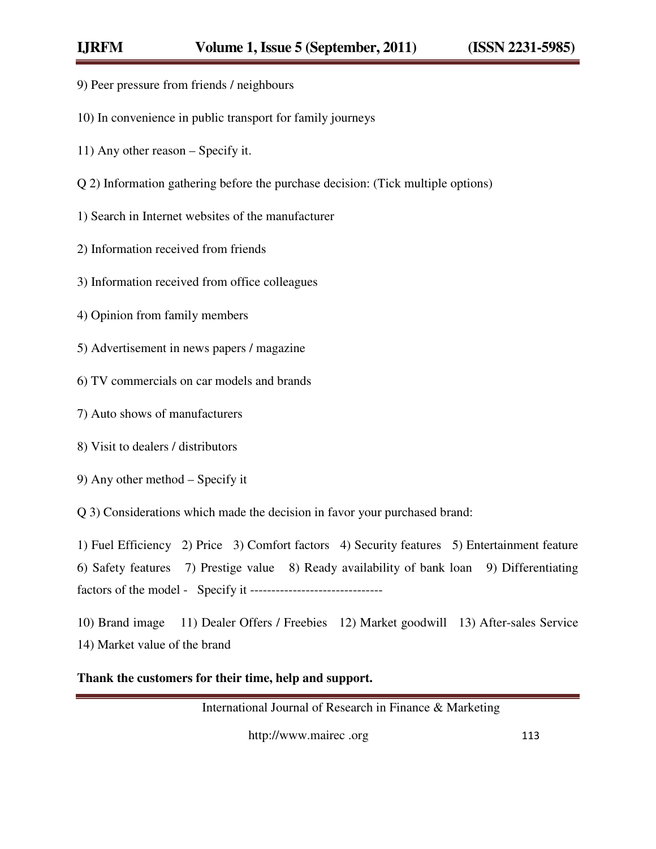- 9) Peer pressure from friends / neighbours
- 10) In convenience in public transport for family journeys
- 11) Any other reason Specify it.
- Q 2) Information gathering before the purchase decision: (Tick multiple options)
- 1) Search in Internet websites of the manufacturer
- 2) Information received from friends
- 3) Information received from office colleagues
- 4) Opinion from family members
- 5) Advertisement in news papers / magazine
- 6) TV commercials on car models and brands
- 7) Auto shows of manufacturers
- 8) Visit to dealers / distributors
- 9) Any other method Specify it

Q 3) Considerations which made the decision in favor your purchased brand:

1) Fuel Efficiency 2) Price 3) Comfort factors 4) Security features 5) Entertainment feature 6) Safety features 7) Prestige value 8) Ready availability of bank loan 9) Differentiating factors of the model - Specify it -------------------------------

10) Brand image 11) Dealer Offers / Freebies 12) Market goodwill 13) After-sales Service 14) Market value of the brand

### **Thank the customers for their time, help and support.**

International Journal of Research in Finance & Marketing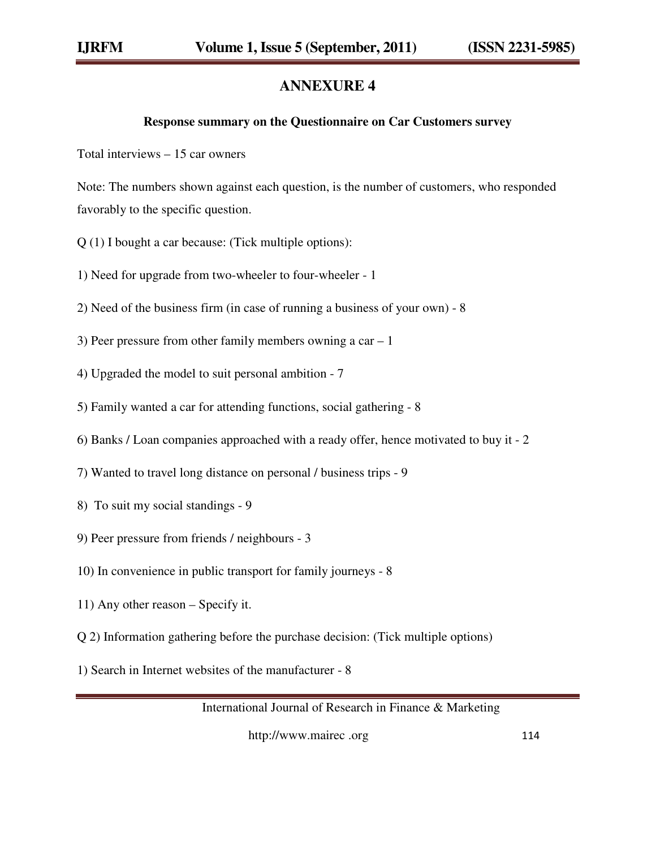# **ANNEXURE 4**

### **Response summary on the Questionnaire on Car Customers survey**

Total interviews – 15 car owners

Note: The numbers shown against each question, is the number of customers, who responded favorably to the specific question.

- Q (1) I bought a car because: (Tick multiple options):
- 1) Need for upgrade from two-wheeler to four-wheeler 1
- 2) Need of the business firm (in case of running a business of your own) 8
- 3) Peer pressure from other family members owning a car  $-1$
- 4) Upgraded the model to suit personal ambition 7
- 5) Family wanted a car for attending functions, social gathering 8
- 6) Banks / Loan companies approached with a ready offer, hence motivated to buy it 2
- 7) Wanted to travel long distance on personal / business trips 9
- 8) To suit my social standings 9
- 9) Peer pressure from friends / neighbours 3
- 10) In convenience in public transport for family journeys 8
- 11) Any other reason Specify it.
- Q 2) Information gathering before the purchase decision: (Tick multiple options)
- 1) Search in Internet websites of the manufacturer 8

International Journal of Research in Finance & Marketing